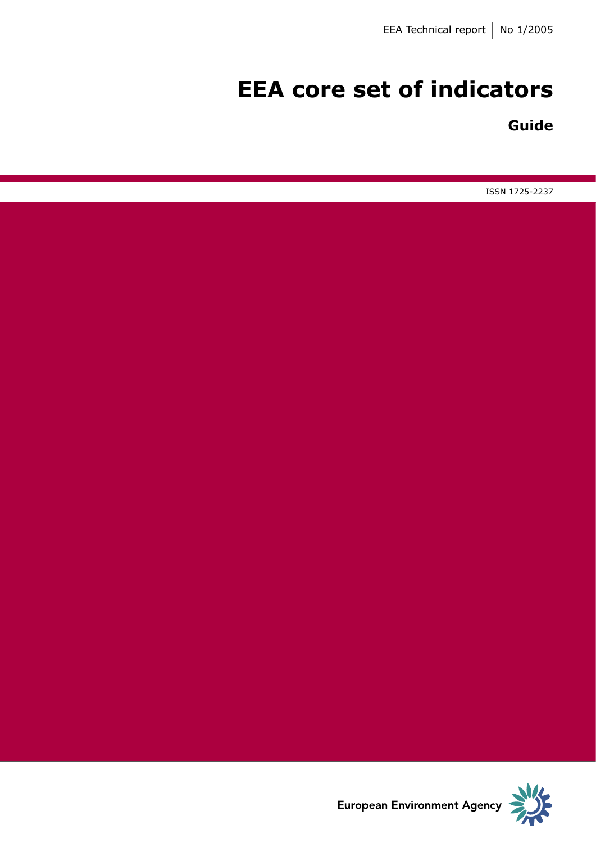# **EEA core set of indicators**

# **Guide**

ISSN 1725-2237

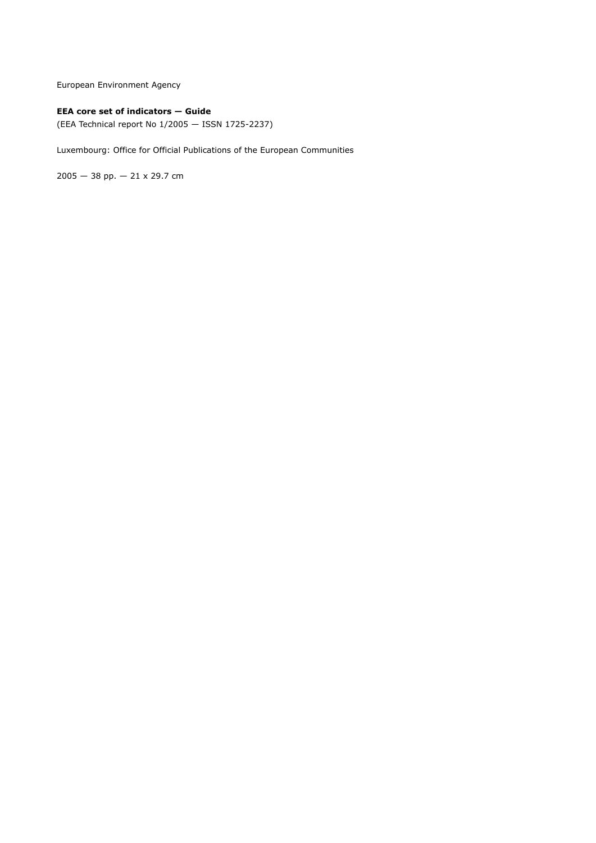European Environment Agency

### **EEA core set of indicators — Guide**

(EEA Technical report No 1/2005 — ISSN 1725-2237)

Luxembourg: Office for Official Publications of the European Communities

2005 — 38 pp. — 21 x 29.7 cm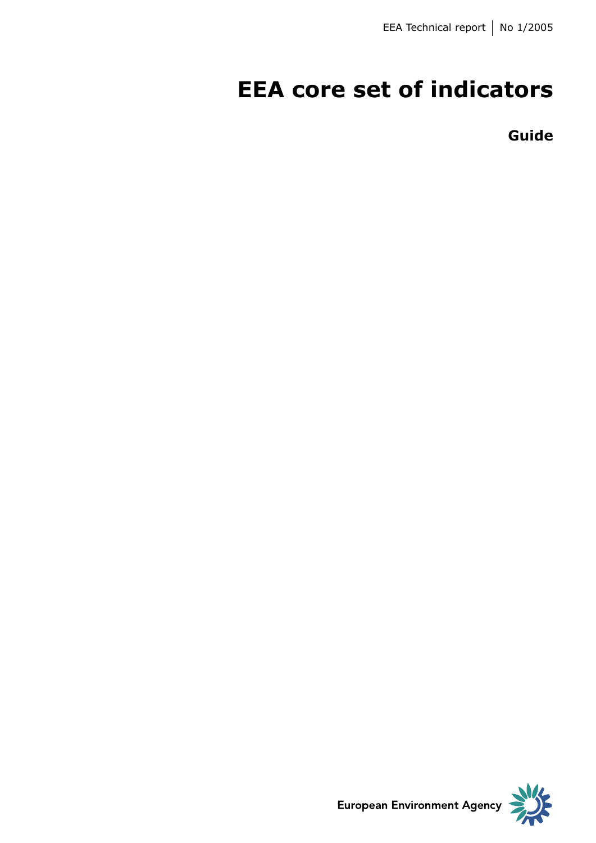# **EEA core set of indicators**

**Guide**

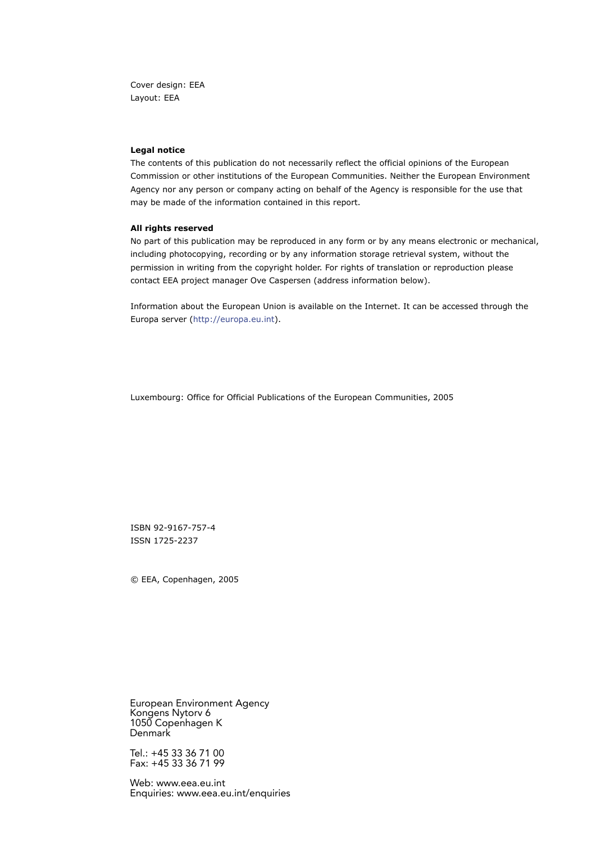Cover design: EEA Layout: EEA

#### **Legal notice**

The contents of this publication do not necessarily reflect the official opinions of the European Commission or other institutions of the European Communities. Neither the European Environment Agency nor any person or company acting on behalf of the Agency is responsible for the use that may be made of the information contained in this report.

#### **All rights reserved**

No part of this publication may be reproduced in any form or by any means electronic or mechanical, including photocopying, recording or by any information storage retrieval system, without the permission in writing from the copyright holder. For rights of translation or reproduction please contact EEA project manager Ove Caspersen (address information below).

Information about the European Union is available on the Internet. It can be accessed through the Europa server [\(http://europa.eu.int]( europa.eu.int)).

Luxembourg: Office for Official Publications of the European Communities, 2005

ISBN 92-9167-757-4 ISSN 1725-2237

© EEA, Copenhagen, 2005

European Environment Agency Kongens Nytorv 6 1050 Copenhagen K Denmark

Tel.: +45 33 36 71 00 Fax: +45 33 36 71 99

Web: www.eea.eu.int Enquiries: www.eea.eu.int/enquiries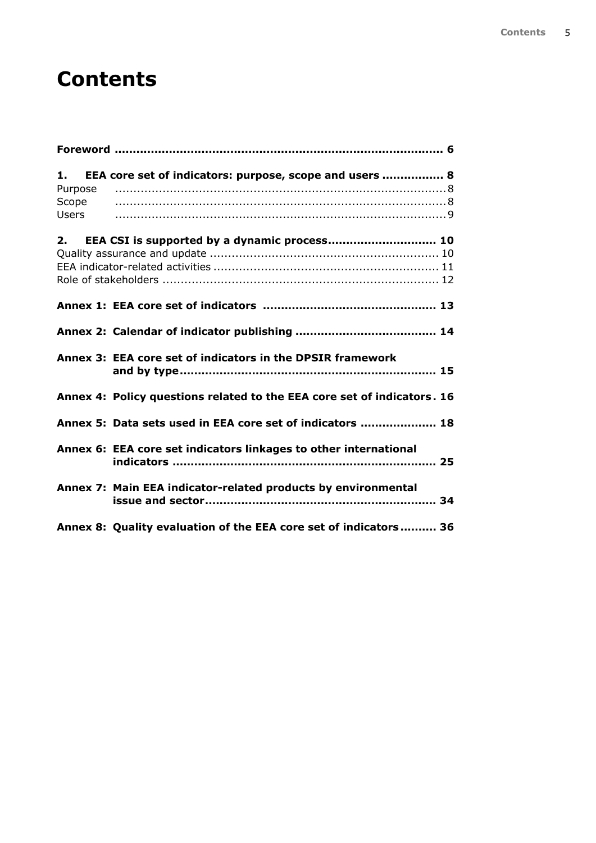# **Contents**

| 1.<br>Purpose<br>Scope<br>Users | EEA core set of indicators: purpose, scope and users  8                 |  |
|---------------------------------|-------------------------------------------------------------------------|--|
| 2.                              | EEA CSI is supported by a dynamic process 10                            |  |
|                                 |                                                                         |  |
|                                 |                                                                         |  |
|                                 | Annex 3: EEA core set of indicators in the DPSIR framework              |  |
|                                 | Annex 4: Policy questions related to the EEA core set of indicators. 16 |  |
|                                 | Annex 5: Data sets used in EEA core set of indicators  18               |  |
|                                 | Annex 6: EEA core set indicators linkages to other international        |  |
|                                 | Annex 7: Main EEA indicator-related products by environmental<br>34     |  |
|                                 | Annex 8: Quality evaluation of the EEA core set of indicators 36        |  |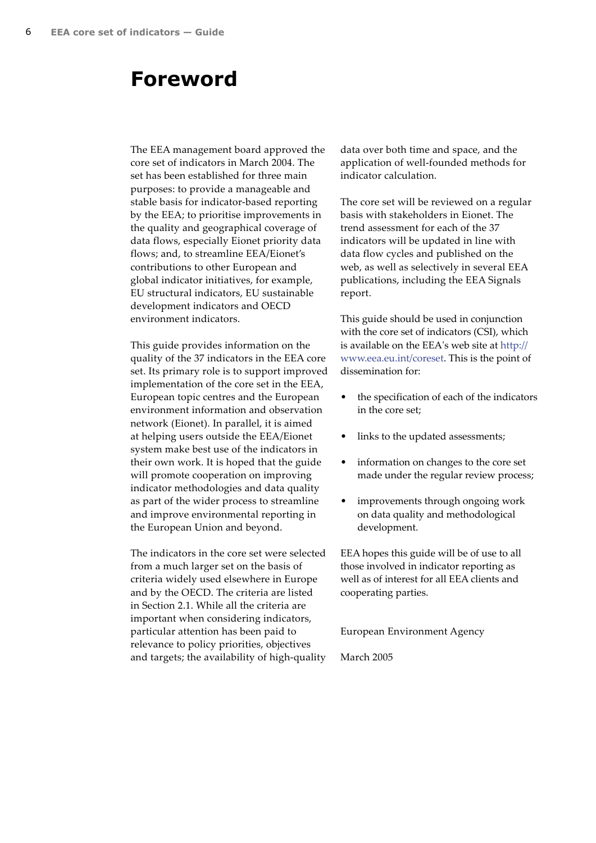# <span id="page-5-0"></span>**Foreword**

The EEA management board approved the core set of indicators in March 2004. The set has been established for three main purposes: to provide a manageable and stable basis for indicator-based reporting by the EEA; to prioritise improvements in the quality and geographical coverage of data flows, especially Eionet priority data flows; and, to streamline EEA/Eionet's contributions to other European and global indicator initiatives, for example, EU structural indicators, EU sustainable development indicators and OECD environment indicators.

This guide provides information on the quality of the 37 indicators in the EEA core set. Its primary role is to support improved implementation of the core set in the EEA, European topic centres and the European environment information and observation network (Eionet). In parallel, it is aimed at helping users outside the EEA/Eionet system make best use of the indicators in their own work. It is hoped that the guide will promote cooperation on improving indicator methodologies and data quality as part of the wider process to streamline and improve environmental reporting in the European Union and beyond.

The indicators in the core set were selected from a much larger set on the basis of criteria widely used elsewhere in Europe and by the OECD. The criteria are listed in Section 2.1. While all the criteria are important when considering indicators, particular attention has been paid to relevance to policy priorities, objectives and targets; the availability of high-quality data over both time and space, and the application of well-founded methods for indicator calculation.

The core set will be reviewed on a regular basis with stakeholders in Eionet. The trend assessment for each of the 37 indicators will be updated in line with data flow cycles and published on the web, as well as selectively in several EEA publications, including the EEA Signals report.

This guide should be used in conjunction with the core set of indicators (CSI), which is available on the EEA's web site at [http://](www.eea.eu.int/coreset) <www.eea.eu.int/coreset>. This is the point of dissemination for:

- the specification of each of the indicators in the core set;
- links to the updated assessments;
- information on changes to the core set made under the regular review process;
- improvements through ongoing work on data quality and methodological development.

EEA hopes this guide will be of use to all those involved in indicator reporting as well as of interest for all EEA clients and cooperating parties.

European Environment Agency

March 2005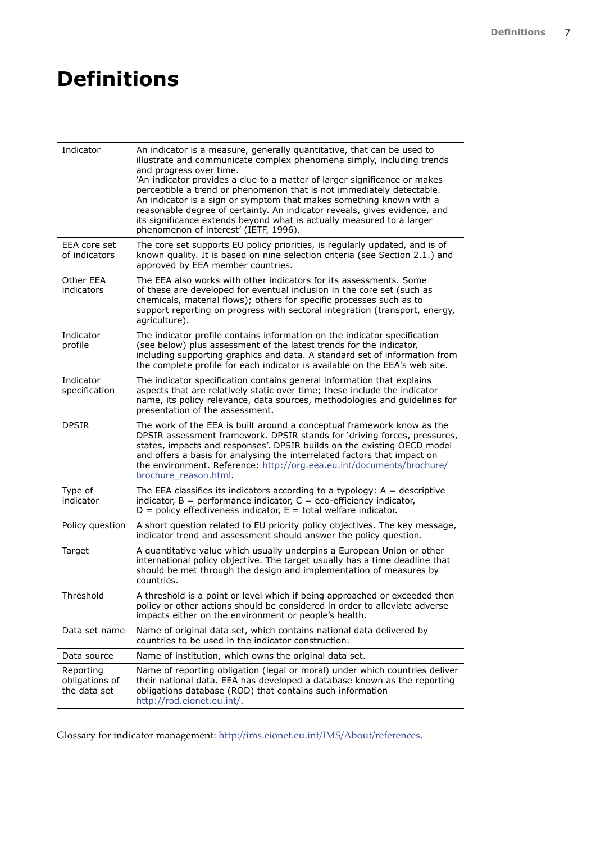# **Definitions**

| Indicator                                   | An indicator is a measure, generally quantitative, that can be used to<br>illustrate and communicate complex phenomena simply, including trends<br>and progress over time.<br>'An indicator provides a clue to a matter of larger significance or makes<br>perceptible a trend or phenomenon that is not immediately detectable.<br>An indicator is a sign or symptom that makes something known with a<br>reasonable degree of certainty. An indicator reveals, gives evidence, and<br>its significance extends beyond what is actually measured to a larger<br>phenomenon of interest' (IETF, 1996). |
|---------------------------------------------|--------------------------------------------------------------------------------------------------------------------------------------------------------------------------------------------------------------------------------------------------------------------------------------------------------------------------------------------------------------------------------------------------------------------------------------------------------------------------------------------------------------------------------------------------------------------------------------------------------|
| EEA core set<br>of indicators               | The core set supports EU policy priorities, is regularly updated, and is of<br>known quality. It is based on nine selection criteria (see Section 2.1.) and<br>approved by EEA member countries.                                                                                                                                                                                                                                                                                                                                                                                                       |
| Other EEA<br>indicators                     | The EEA also works with other indicators for its assessments. Some<br>of these are developed for eventual inclusion in the core set (such as<br>chemicals, material flows); others for specific processes such as to<br>support reporting on progress with sectoral integration (transport, energy,<br>agriculture).                                                                                                                                                                                                                                                                                   |
| Indicator<br>profile                        | The indicator profile contains information on the indicator specification<br>(see below) plus assessment of the latest trends for the indicator,<br>including supporting graphics and data. A standard set of information from<br>the complete profile for each indicator is available on the EEA's web site.                                                                                                                                                                                                                                                                                          |
| Indicator<br>specification                  | The indicator specification contains general information that explains<br>aspects that are relatively static over time; these include the indicator<br>name, its policy relevance, data sources, methodologies and guidelines for<br>presentation of the assessment.                                                                                                                                                                                                                                                                                                                                   |
| <b>DPSIR</b>                                | The work of the EEA is built around a conceptual framework know as the<br>DPSIR assessment framework. DPSIR stands for 'driving forces, pressures,<br>states, impacts and responses'. DPSIR builds on the existing OECD model<br>and offers a basis for analysing the interrelated factors that impact on<br>the environment. Reference: http://org.eea.eu.int/documents/brochure/<br>brochure reason.html.                                                                                                                                                                                            |
| Type of<br>indicator                        | The EEA classifies its indicators according to a typology: $A =$ descriptive<br>indicator, $B =$ performance indicator, $C =$ eco-efficiency indicator,<br>$D =$ policy effectiveness indicator, $E =$ total welfare indicator.                                                                                                                                                                                                                                                                                                                                                                        |
| Policy question                             | A short question related to EU priority policy objectives. The key message,<br>indicator trend and assessment should answer the policy question.                                                                                                                                                                                                                                                                                                                                                                                                                                                       |
| Target                                      | A quantitative value which usually underpins a European Union or other<br>international policy objective. The target usually has a time deadline that<br>should be met through the design and implementation of measures by<br>countries.                                                                                                                                                                                                                                                                                                                                                              |
| Threshold                                   | A threshold is a point or level which if being approached or exceeded then<br>policy or other actions should be considered in order to alleviate adverse<br>impacts either on the environment or people's health.                                                                                                                                                                                                                                                                                                                                                                                      |
| Data set name                               | Name of original data set, which contains national data delivered by<br>countries to be used in the indicator construction.                                                                                                                                                                                                                                                                                                                                                                                                                                                                            |
| Data source                                 | Name of institution, which owns the original data set.                                                                                                                                                                                                                                                                                                                                                                                                                                                                                                                                                 |
| Reporting<br>obligations of<br>the data set | Name of reporting obligation (legal or moral) under which countries deliver<br>their national data. EEA has developed a database known as the reporting<br>obligations database (ROD) that contains such information<br>http://rod.eionet.eu.int/.                                                                                                                                                                                                                                                                                                                                                     |

Glossary for indicator management: [http://ims.eionet.eu.int/IMS/About/references.](ims.eionet.eu.int/IMS/About/references)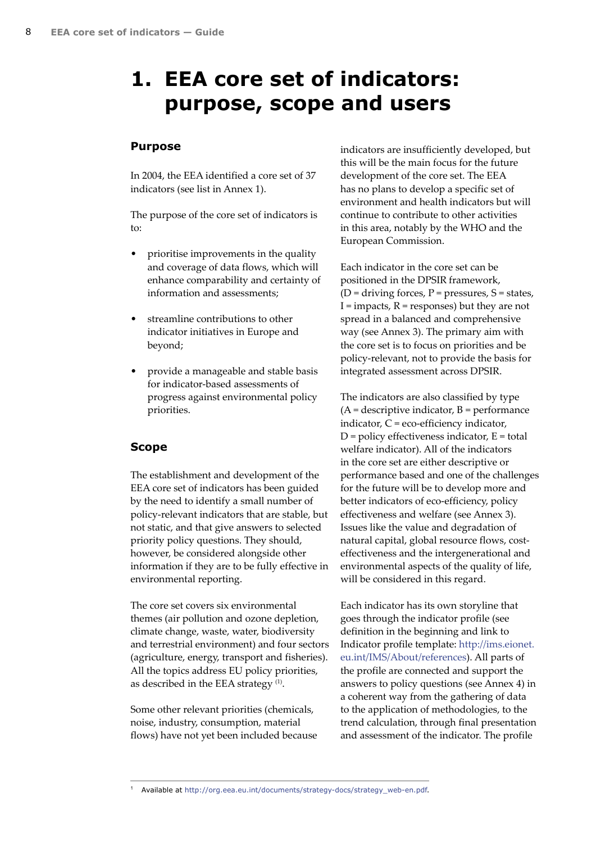# <span id="page-7-0"></span>**1. EEA core set of indicators: purpose, scope and users**

### **Purpose**

In 2004, the EEA identified a core set of 37 indicators (see list in Annex 1).

The purpose of the core set of indicators is to:

- prioritise improvements in the quality and coverage of data flows, which will enhance comparability and certainty of information and assessments;
- streamline contributions to other indicator initiatives in Europe and beyond;
- provide a manageable and stable basis for indicator-based assessments of progress against environmental policy priorities.

### **Scope**

The establishment and development of the EEA core set of indicators has been guided by the need to identify a small number of policy-relevant indicators that are stable, but not static, and that give answers to selected priority policy questions. They should, however, be considered alongside other information if they are to be fully effective in environmental reporting.

The core set covers six environmental themes (air pollution and ozone depletion, climate change, waste, water, biodiversity and terrestrial environment) and four sectors (agriculture, energy, transport and fisheries). All the topics address EU policy priorities, as described in the EEA strategy<sup>(1)</sup>.

Some other relevant priorities (chemicals, noise, industry, consumption, material flows) have not yet been included because indicators are insufficiently developed, but this will be the main focus for the future development of the core set. The EEA has no plans to develop a specific set of environment and health indicators but will continue to contribute to other activities in this area, notably by the WHO and the European Commission.

Each indicator in the core set can be positioned in the DPSIR framework,  $(D = driving forces, P = pressures, S = states,$  $I =$  impacts,  $R =$  responses) but they are not spread in a balanced and comprehensive way (see Annex 3). The primary aim with the core set is to focus on priorities and be policy-relevant, not to provide the basis for integrated assessment across DPSIR.

The indicators are also classified by type  $(A =$  descriptive indicator,  $B =$  performance indicator, C = eco-efficiency indicator,  $D =$  policy effectiveness indicator,  $E =$  total welfare indicator). All of the indicators in the core set are either descriptive or performance based and one of the challenges for the future will be to develop more and better indicators of eco-efficiency, policy effectiveness and welfare (see Annex 3). Issues like the value and degradation of natural capital, global resource flows, costeffectiveness and the intergenerational and environmental aspects of the quality of life, will be considered in this regard.

Each indicator has its own storyline that goes through the indicator profile (see definition in the beginning and link to Indicator profile template: [http://ims.eionet.](http://ims.eionet.eu.int/IMS/About/references) [eu.int/IMS/About/references](http://ims.eionet.eu.int/IMS/About/references)). All parts of the profile are connected and support the answers to policy questions (see Annex 4) in a coherent way from the gathering of data to the application of methodologies, to the trend calculation, through final presentation and assessment of the indicator. The profile

1 Available at [http://org.eea.eu.int/documents/strategy-docs/strategy\\_web-en.pdf.](org.eea.eu.int/documents/strategy-docs/strategy_web-en.pdf)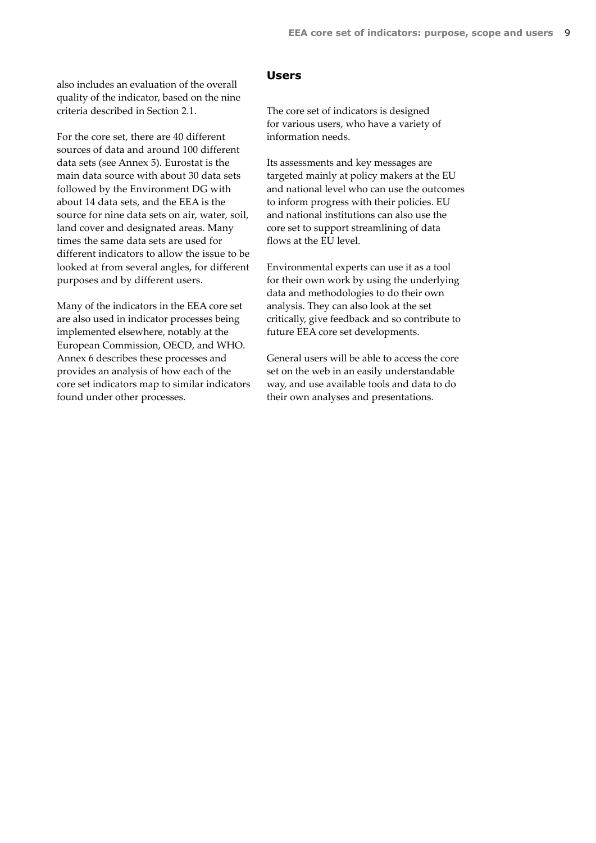<span id="page-8-0"></span>also includes an evaluation of the overall quality of the indicator, based on the nine criteria described in Section 2.1.

For the core set, there are 40 different sources of data and around 100 different data sets (see Annex 5). Eurostat is the main data source with about 30 data sets followed by the Environment DG with about 14 data sets, and the EEA is the source for nine data sets on air, water, soil, land cover and designated areas. Many times the same data sets are used for different indicators to allow the issue to be looked at from several angles, for different purposes and by different users.

Many of the indicators in the EEA core set are also used in indicator processes being implemented elsewhere, notably at the European Commission, OECD, and WHO. Annex 6 describes these processes and provides an analysis of how each of the core set indicators map to similar indicators found under other processes.

### **Users**

The core set of indicators is designed for various users, who have a variety of information needs.

Its assessments and key messages are targeted mainly at policy makers at the EU and national level who can use the outcomes to inform progress with their policies. EU and national institutions can also use the core set to support streamlining of data flows at the EU level.

Environmental experts can use it as a tool for their own work by using the underlying data and methodologies to do their own analysis. They can also look at the set critically, give feedback and so contribute to future EEA core set developments.

General users will be able to access the core set on the web in an easily understandable way, and use available tools and data to do their own analyses and presentations.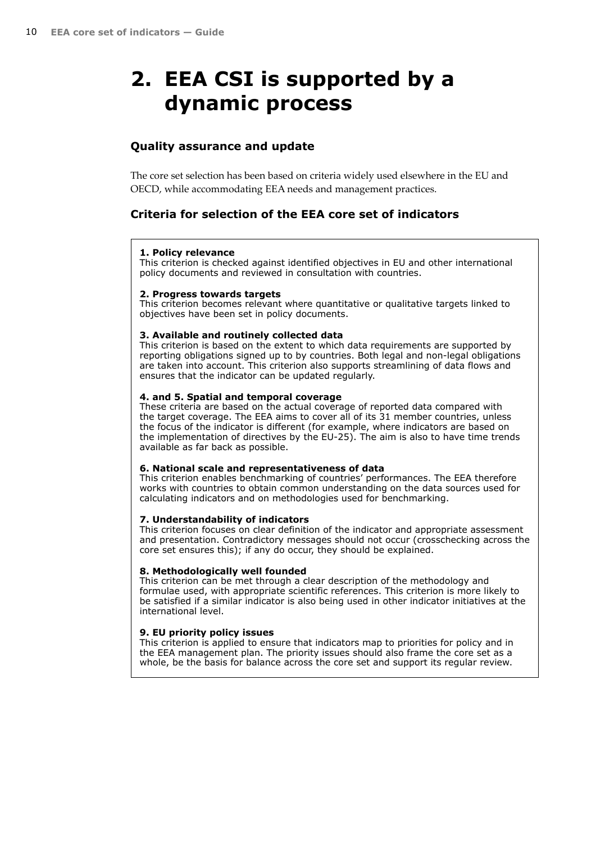# <span id="page-9-0"></span>**2. EEA CSI is supported by a dynamic process**

## **Quality assurance and update**

The core set selection has been based on criteria widely used elsewhere in the EU and OECD, while accommodating EEA needs and management practices.

## **Criteria for selection of the EEA core set of indicators**

#### **1. Policy relevance**

This criterion is checked against identified objectives in EU and other international policy documents and reviewed in consultation with countries.

#### **2. Progress towards targets**

This criterion becomes relevant where quantitative or qualitative targets linked to objectives have been set in policy documents.

#### **3. Available and routinely collected data**

This criterion is based on the extent to which data requirements are supported by reporting obligations signed up to by countries. Both legal and non-legal obligations are taken into account. This criterion also supports streamlining of data flows and ensures that the indicator can be updated regularly.

#### **4. and 5. Spatial and temporal coverage**

These criteria are based on the actual coverage of reported data compared with the target coverage. The EEA aims to cover all of its 31 member countries, unless the focus of the indicator is different (for example, where indicators are based on the implementation of directives by the EU-25). The aim is also to have time trends available as far back as possible.

#### **6. National scale and representativeness of data**

This criterion enables benchmarking of countries' performances. The EEA therefore works with countries to obtain common understanding on the data sources used for calculating indicators and on methodologies used for benchmarking.

### **7. Understandability of indicators**

This criterion focuses on clear definition of the indicator and appropriate assessment and presentation. Contradictory messages should not occur (crosschecking across the core set ensures this); if any do occur, they should be explained.

#### **8. Methodologically well founded**

This criterion can be met through a clear description of the methodology and formulae used, with appropriate scientific references. This criterion is more likely to be satisfied if a similar indicator is also being used in other indicator initiatives at the international level.

### **9. EU priority policy issues**

This criterion is applied to ensure that indicators map to priorities for policy and in the EEA management plan. The priority issues should also frame the core set as a whole, be the basis for balance across the core set and support its regular review.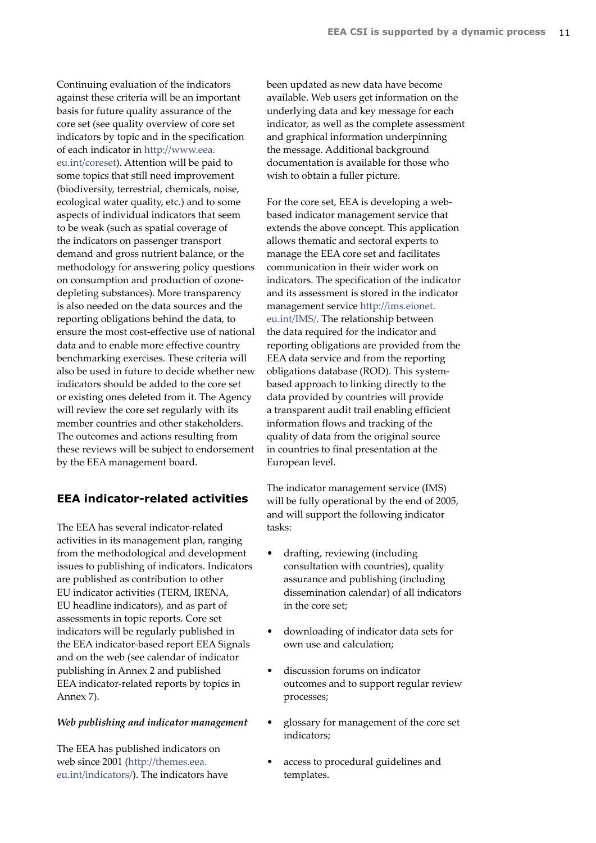<span id="page-10-0"></span>Continuing evaluation of the indicators against these criteria will be an important basis for future quality assurance of the core set (see quality overview of core set indicators by topic and in the specification of each indicator in [http://www.eea.]( www.eea.eu.int/coreset) [eu.int/coreset]( www.eea.eu.int/coreset)). Attention will be paid to some topics that still need improvement (biodiversity, terrestrial, chemicals, noise, ecological water quality, etc.) and to some aspects of individual indicators that seem to be weak (such as spatial coverage of the indicators on passenger transport demand and gross nutrient balance, or the methodology for answering policy questions on consumption and production of ozonedepleting substances). More transparency is also needed on the data sources and the reporting obligations behind the data, to ensure the most cost-effective use of national data and to enable more effective country benchmarking exercises. These criteria will also be used in future to decide whether new indicators should be added to the core set or existing ones deleted from it. The Agency will review the core set regularly with its member countries and other stakeholders. The outcomes and actions resulting from these reviews will be subject to endorsement by the EEA management board.

### **EEA indicator-related activities**

The EEA has several indicator-related activities in its management plan, ranging from the methodological and development issues to publishing of indicators. Indicators are published as contribution to other EU indicator activities (TERM, IRENA, EU headline indicators), and as part of assessments in topic reports. Core set indicators will be regularly published in the EEA indicator-based report EEA Signals and on the web (see calendar of indicator publishing in Annex 2 and published EEA indicator-related reports by topics in Annex 7).

### *Web publishing and indicator management*

The EEA has published indicators on web since 2001 [\(http://themes.eea.](themes.eea.eu.int/indicators/) [eu.int/indicators/\)](themes.eea.eu.int/indicators/). The indicators have been updated as new data have become available. Web users get information on the underlying data and key message for each indicator, as well as the complete assessment and graphical information underpinning the message. Additional background documentation is available for those who wish to obtain a fuller picture.

For the core set, EEA is developing a webbased indicator management service that extends the above concept. This application allows thematic and sectoral experts to manage the EEA core set and facilitates communication in their wider work on indicators. The specification of the indicator and its assessment is stored in the indicator management service [http://ims.eionet.]( ims.eionet.eu.int/IMS/) [eu.int/IMS/]( ims.eionet.eu.int/IMS/). The relationship between the data required for the indicator and reporting obligations are provided from the EEA data service and from the reporting obligations database (ROD). This systembased approach to linking directly to the data provided by countries will provide a transparent audit trail enabling efficient information flows and tracking of the quality of data from the original source in countries to final presentation at the European level.

The indicator management service (IMS) will be fully operational by the end of 2005, and will support the following indicator tasks:

- drafting, reviewing (including consultation with countries), quality assurance and publishing (including dissemination calendar) of all indicators in the core set;
- downloading of indicator data sets for own use and calculation;
- discussion forums on indicator outcomes and to support regular review processes;
- glossary for management of the core set indicators;
- access to procedural guidelines and templates.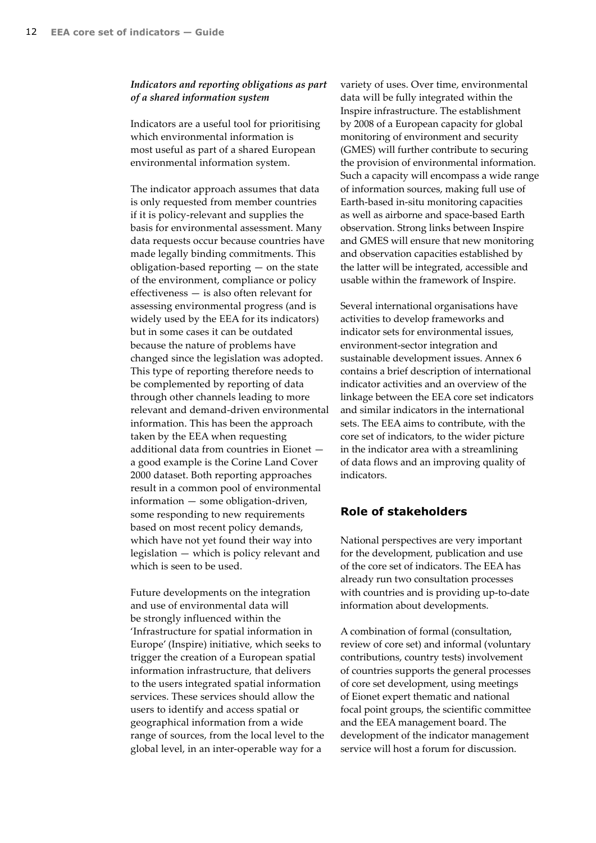### <span id="page-11-0"></span>*Indicators and reporting obligations as part of a shared information system*

Indicators are a useful tool for prioritising which environmental information is most useful as part of a shared European environmental information system.

The indicator approach assumes that data is only requested from member countries if it is policy-relevant and supplies the basis for environmental assessment. Many data requests occur because countries have made legally binding commitments. This obligation-based reporting — on the state of the environment, compliance or policy effectiveness — is also often relevant for assessing environmental progress (and is widely used by the EEA for its indicators) but in some cases it can be outdated because the nature of problems have changed since the legislation was adopted. This type of reporting therefore needs to be complemented by reporting of data through other channels leading to more relevant and demand-driven environmental information. This has been the approach taken by the EEA when requesting additional data from countries in Eionet a good example is the Corine Land Cover 2000 dataset. Both reporting approaches result in a common pool of environmental information — some obligation-driven, some responding to new requirements based on most recent policy demands, which have not yet found their way into legislation — which is policy relevant and which is seen to be used.

Future developments on the integration and use of environmental data will be strongly influenced within the 'Infrastructure for spatial information in Europe' (Inspire) initiative, which seeks to trigger the creation of a European spatial information infrastructure, that delivers to the users integrated spatial information services. These services should allow the users to identify and access spatial or geographical information from a wide range of sources, from the local level to the global level, in an inter-operable way for a

variety of uses. Over time, environmental data will be fully integrated within the Inspire infrastructure. The establishment by 2008 of a European capacity for global monitoring of environment and security (GMES) will further contribute to securing the provision of environmental information. Such a capacity will encompass a wide range of information sources, making full use of Earth-based in-situ monitoring capacities as well as airborne and space-based Earth observation. Strong links between Inspire and GMES will ensure that new monitoring and observation capacities established by the latter will be integrated, accessible and usable within the framework of Inspire.

Several international organisations have activities to develop frameworks and indicator sets for environmental issues, environment-sector integration and sustainable development issues. Annex 6 contains a brief description of international indicator activities and an overview of the linkage between the EEA core set indicators and similar indicators in the international sets. The EEA aims to contribute, with the core set of indicators, to the wider picture in the indicator area with a streamlining of data flows and an improving quality of indicators.

### **Role of stakeholders**

National perspectives are very important for the development, publication and use of the core set of indicators. The EEA has already run two consultation processes with countries and is providing up-to-date information about developments.

A combination of formal (consultation, review of core set) and informal (voluntary contributions, country tests) involvement of countries supports the general processes of core set development, using meetings of Eionet expert thematic and national focal point groups, the scientific committee and the EEA management board. The development of the indicator management service will host a forum for discussion.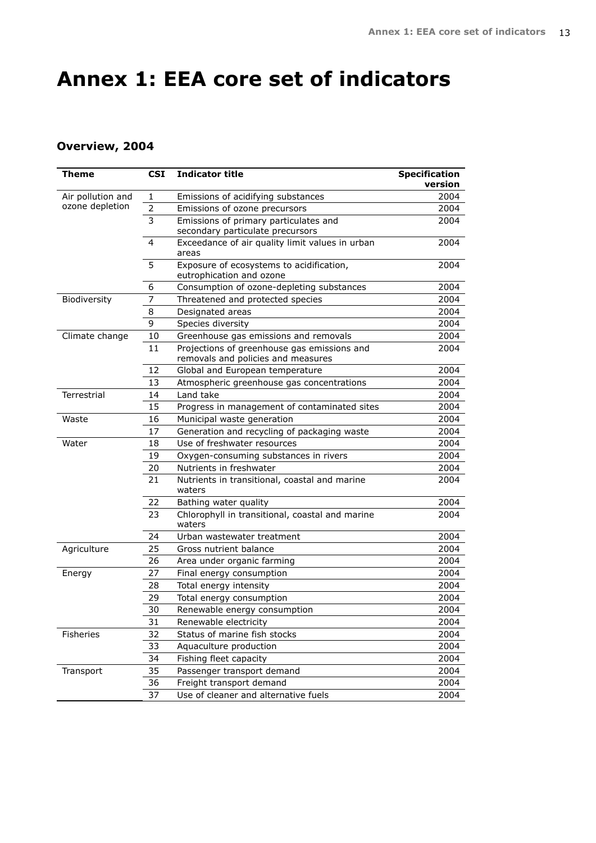# <span id="page-12-0"></span>**Annex 1: EEA core set of indicators**

# **Overview, 2004**

| Theme             | <b>CSI</b>     | <b>Indicator title</b>                                                            | <b>Specification</b> |
|-------------------|----------------|-----------------------------------------------------------------------------------|----------------------|
|                   |                |                                                                                   | version              |
| Air pollution and | 1              | Emissions of acidifying substances                                                | 2004                 |
| ozone depletion   | $\overline{2}$ | Emissions of ozone precursors                                                     | 2004                 |
|                   | 3              | Emissions of primary particulates and                                             | 2004                 |
|                   |                | secondary particulate precursors                                                  |                      |
|                   | 4              | Exceedance of air quality limit values in urban<br>areas                          | 2004                 |
|                   | 5              | Exposure of ecosystems to acidification,<br>eutrophication and ozone              | 2004                 |
|                   | 6              | Consumption of ozone-depleting substances                                         | 2004                 |
| Biodiversity      | 7              | Threatened and protected species                                                  | 2004                 |
|                   | 8              | Designated areas                                                                  | 2004                 |
|                   | 9              | Species diversity                                                                 | 2004                 |
| Climate change    | 10             | Greenhouse gas emissions and removals                                             | 2004                 |
|                   | 11             | Projections of greenhouse gas emissions and<br>removals and policies and measures | 2004                 |
|                   | 12             | Global and European temperature                                                   | 2004                 |
|                   | 13             | Atmospheric greenhouse gas concentrations                                         | 2004                 |
| Terrestrial       | 14             | Land take                                                                         | 2004                 |
|                   | 15             | Progress in management of contaminated sites                                      | 2004                 |
| Waste             | 16             | Municipal waste generation                                                        | 2004                 |
|                   | 17             | Generation and recycling of packaging waste                                       | 2004                 |
| Water             | 18             | Use of freshwater resources                                                       | 2004                 |
|                   | 19             | Oxygen-consuming substances in rivers                                             | 2004                 |
|                   | 20             | Nutrients in freshwater                                                           | 2004                 |
|                   | 21             | Nutrients in transitional, coastal and marine<br>waters                           | 2004                 |
|                   | 22             | Bathing water quality                                                             | 2004                 |
|                   | 23             | Chlorophyll in transitional, coastal and marine<br>waters                         | 2004                 |
|                   | 24             | Urban wastewater treatment                                                        | 2004                 |
| Agriculture       | 25             | Gross nutrient balance                                                            | 2004                 |
|                   | 26             | Area under organic farming                                                        | 2004                 |
| Energy            | 27             | Final energy consumption                                                          | 2004                 |
|                   | 28             | Total energy intensity                                                            | 2004                 |
|                   | 29             | Total energy consumption                                                          | 2004                 |
|                   | 30             | Renewable energy consumption                                                      | 2004                 |
|                   | 31             | Renewable electricity                                                             | 2004                 |
| Fisheries         | 32             | Status of marine fish stocks                                                      | 2004                 |
|                   | 33             | Aquaculture production                                                            | 2004                 |
|                   | 34             | Fishing fleet capacity                                                            | 2004                 |
| Transport         | 35             | Passenger transport demand                                                        | 2004                 |
|                   | 36             | Freight transport demand                                                          | 2004                 |
|                   | 37             | Use of cleaner and alternative fuels                                              | 2004                 |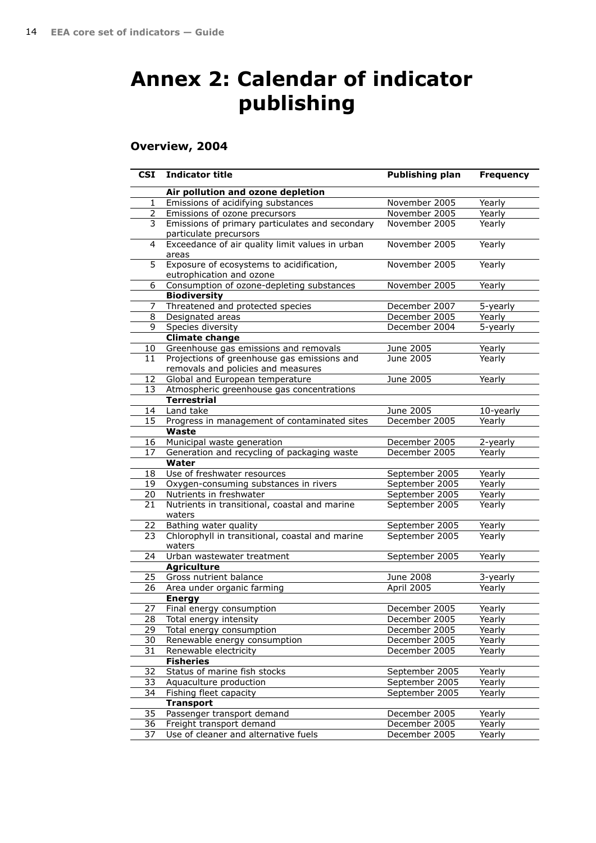# <span id="page-13-0"></span>**Annex 2: Calendar of indicator publishing**

## **Overview, 2004**

| <b>CSI</b>     | <b>Indicator title</b>                                                            | <b>Publishing plan</b> | <b>Frequency</b> |
|----------------|-----------------------------------------------------------------------------------|------------------------|------------------|
|                | Air pollution and ozone depletion                                                 |                        |                  |
| 1              | Emissions of acidifying substances                                                | November 2005          | Yearly           |
| $\overline{2}$ | Emissions of ozone precursors                                                     | November 2005          | Yearly           |
| 3              | Emissions of primary particulates and secondary<br>particulate precursors         | November 2005          | Yearly           |
| 4              | Exceedance of air quality limit values in urban<br>areas                          | November 2005          | Yearly           |
| 5              | Exposure of ecosystems to acidification,<br>eutrophication and ozone              | November 2005          | Yearly           |
| 6              | Consumption of ozone-depleting substances                                         | November 2005          | Yearly           |
|                | <b>Biodiversity</b>                                                               |                        |                  |
| 7              | Threatened and protected species                                                  | December 2007          | 5-yearly         |
| 8              | Designated areas                                                                  | December 2005          | Yearly           |
| 9              | Species diversity                                                                 | December 2004          | 5-yearly         |
|                | <b>Climate change</b>                                                             |                        |                  |
| 10             | Greenhouse gas emissions and removals                                             | June 2005              | Yearly           |
| 11             | Projections of greenhouse gas emissions and<br>removals and policies and measures | June 2005              | Yearly           |
| 12             | Global and European temperature                                                   | June 2005              | Yearly           |
| 13             | Atmospheric greenhouse gas concentrations                                         |                        |                  |
|                | <b>Terrestrial</b>                                                                |                        |                  |
| 14             | Land take                                                                         | June 2005              | 10-yearly        |
| 15             | Progress in management of contaminated sites<br>Waste                             | December 2005          | Yearly           |
| 16             | Municipal waste generation                                                        | December 2005          | 2-yearly         |
| 17             | Generation and recycling of packaging waste                                       | December 2005          | Yearly           |
|                | Water                                                                             |                        |                  |
| 18             | Use of freshwater resources                                                       | September 2005         | Yearly           |
| 19             | Oxygen-consuming substances in rivers                                             | September 2005         | Yearly           |
| 20             | Nutrients in freshwater                                                           | September 2005         | Yearly           |
| 21             | Nutrients in transitional, coastal and marine<br>waters                           | September 2005         | Yearly           |
| 22             | Bathing water quality                                                             | September 2005         | Yearly           |
| 23             | Chlorophyll in transitional, coastal and marine<br>waters                         | September 2005         | Yearly           |
| 24             | Urban wastewater treatment                                                        | September 2005         | Yearly           |
|                | <b>Agriculture</b>                                                                |                        |                  |
| 25             | Gross nutrient balance                                                            | June 2008              | 3-yearly         |
| 26             | Area under organic farming                                                        | April 2005             | Yearly           |
|                | <b>Energy</b>                                                                     |                        |                  |
| 27             | Final energy consumption                                                          | December 2005          | Yearly           |
| 28             | Total energy intensity                                                            | December 2005          | Yearly           |
| 29             | Total energy consumption                                                          | December 2005          | Yearly           |
| 30             | Renewable energy consumption                                                      | December 2005          | Yearly           |
| 31             | Renewable electricity                                                             | December 2005          | Yearly           |
|                | <b>Fisheries</b>                                                                  |                        |                  |
| 32             | Status of marine fish stocks                                                      | September 2005         | Yearly           |
| 33             | Aquaculture production                                                            | September 2005         | Yearly           |
| 34             | Fishing fleet capacity                                                            | September 2005         | Yearly           |
|                | <b>Transport</b>                                                                  |                        |                  |
| 35             | Passenger transport demand                                                        | December 2005          | Yearly           |
| 36             | Freight transport demand                                                          | December 2005          | Yearly           |
| 37             | Use of cleaner and alternative fuels                                              | December 2005          | Yearly           |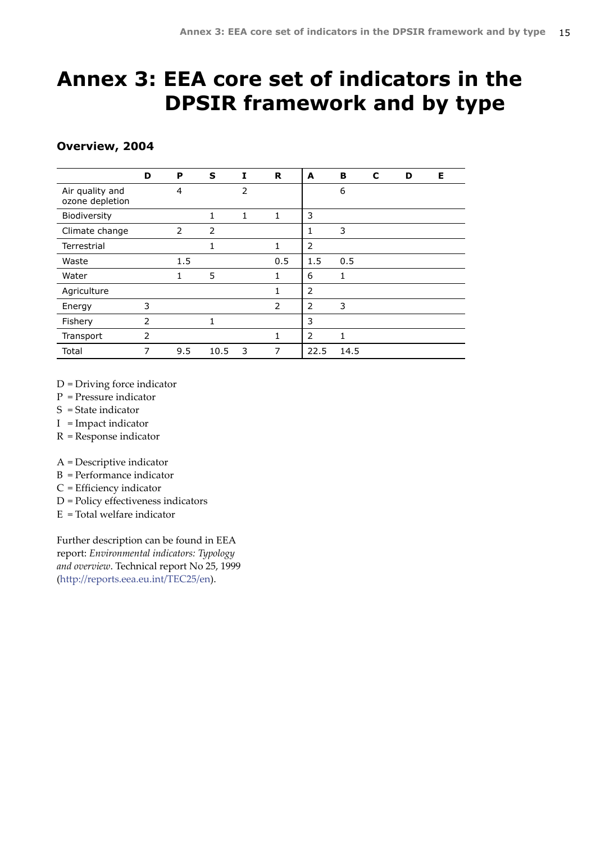# <span id="page-14-0"></span>**Annex 3: EEA core set of indicators in the DPSIR framework and by type**

## **Overview, 2004**

|                                    | D              | P   | S            | I              | R   | A              | в    | C | D | Е |
|------------------------------------|----------------|-----|--------------|----------------|-----|----------------|------|---|---|---|
| Air quality and<br>ozone depletion |                | 4   |              | $\overline{2}$ |     |                | 6    |   |   |   |
| Biodiversity                       |                |     | $\mathbf{1}$ | 1              | 1   | 3              |      |   |   |   |
| Climate change                     |                | 2   | 2            |                |     | 1              | 3    |   |   |   |
| Terrestrial                        |                |     | 1            |                | 1   | $\overline{2}$ |      |   |   |   |
| Waste                              |                | 1.5 |              |                | 0.5 | 1.5            | 0.5  |   |   |   |
| Water                              |                | 1   | 5            |                | 1   | 6              | 1    |   |   |   |
| Agriculture                        |                |     |              |                | 1   | 2              |      |   |   |   |
| Energy                             | 3              |     |              |                | 2   | 2              | 3    |   |   |   |
| Fishery                            | $\overline{2}$ |     | $\mathbf{1}$ |                |     | 3              |      |   |   |   |
| Transport                          | 2              |     |              |                | 1   | 2              | 1    |   |   |   |
| Total                              | 7              | 9.5 | 10.5         | 3              | 7   | 22.5           | 14.5 |   |   |   |

D = Driving force indicator

- P = Pressure indicator
- S = State indicator
- I = Impact indicator
- R = Response indicator

A = Descriptive indicator

- B = Performance indicator
- C = Efficiency indicator
- D = Policy effectiveness indicators
- E = Total welfare indicator

Further description can be found in EEA report: *Environmental indicators: Typology and overview*. Technical report No 25, 1999 [\(http://reports.eea.eu.int/TEC25/en](reports.eea.eu.int/TEC25/en)).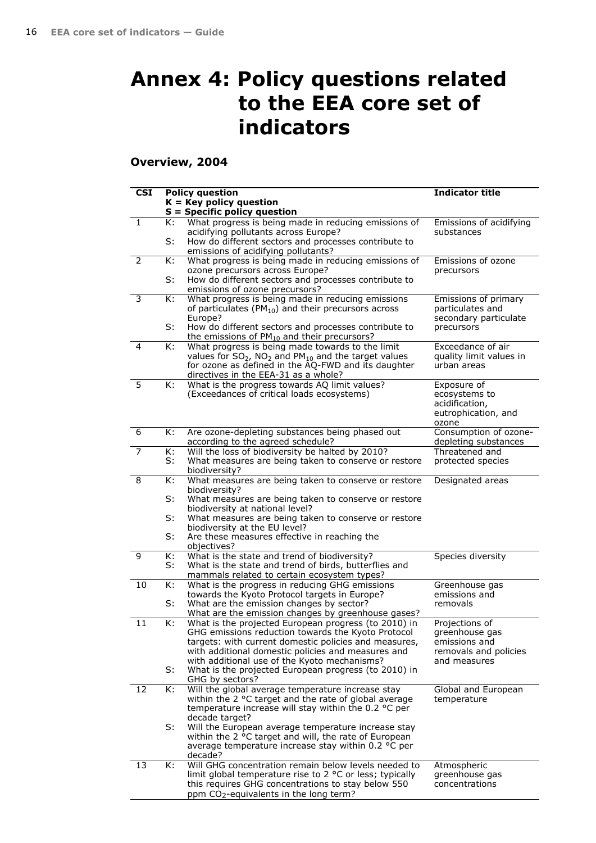# <span id="page-15-0"></span>**Annex 4: Policy questions related to the EEA core set of indicators**

**Overview, 2004**

| <b>CSI</b> |          | <b>Policy question</b><br>$K = Key policy question$                                                                                                                                                                                                                       | <b>Indicator title</b>                                                                     |
|------------|----------|---------------------------------------------------------------------------------------------------------------------------------------------------------------------------------------------------------------------------------------------------------------------------|--------------------------------------------------------------------------------------------|
|            |          | $S =$ Specific policy question                                                                                                                                                                                                                                            |                                                                                            |
| 1          | K:<br>S: | What progress is being made in reducing emissions of<br>acidifying pollutants across Europe?<br>How do different sectors and processes contribute to<br>emissions of acidifying pollutants?                                                                               | Emissions of acidifying<br>substances                                                      |
| 2          | K:       | What progress is being made in reducing emissions of<br>ozone precursors across Europe?                                                                                                                                                                                   | Emissions of ozone<br>precursors                                                           |
|            | S:       | How do different sectors and processes contribute to<br>emissions of ozone precursors?                                                                                                                                                                                    |                                                                                            |
| 3          | K:       | What progress is being made in reducing emissions<br>of particulates ( $PM_{10}$ ) and their precursors across<br>Europe?                                                                                                                                                 | Emissions of primary<br>particulates and<br>secondary particulate                          |
|            | S:       | How do different sectors and processes contribute to<br>the emissions of $PM_{10}$ and their precursors?                                                                                                                                                                  | precursors                                                                                 |
| 4          | К:       | What progress is being made towards to the limit<br>values for $SO_2$ , NO <sub>2</sub> and PM <sub>10</sub> and the target values<br>for ozone as defined in the AQ-FWD and its daughter<br>directives in the EEA-31 as a whole?                                         | Exceedance of air<br>quality limit values in<br>urban areas                                |
| 5          | K:       | What is the progress towards AQ limit values?<br>(Exceedances of critical loads ecosystems)                                                                                                                                                                               | Exposure of<br>ecosystems to<br>acidification,<br>eutrophication, and<br>ozone             |
| 6          | K:       | Are ozone-depleting substances being phased out<br>according to the agreed schedule?                                                                                                                                                                                      | Consumption of ozone-<br>depleting substances                                              |
| 7          | К:<br>S: | Will the loss of biodiversity be halted by 2010?<br>What measures are being taken to conserve or restore<br>biodiversity?                                                                                                                                                 | Threatened and<br>protected species                                                        |
| 8          | K:<br>S: | What measures are being taken to conserve or restore<br>biodiversity?                                                                                                                                                                                                     | Designated areas                                                                           |
|            | S:       | What measures are being taken to conserve or restore<br>biodiversity at national level?<br>What measures are being taken to conserve or restore                                                                                                                           |                                                                                            |
|            | S:       | biodiversity at the EU level?<br>Are these measures effective in reaching the<br>objectives?                                                                                                                                                                              |                                                                                            |
| 9          | K:<br>S: | What is the state and trend of biodiversity?<br>What is the state and trend of birds, butterflies and<br>mammals related to certain ecosystem types?                                                                                                                      | Species diversity                                                                          |
| 10         | K:       | What is the progress in reducing GHG emissions<br>towards the Kyoto Protocol targets in Europe?                                                                                                                                                                           | Greenhouse gas<br>emissions and                                                            |
|            | S:       | What are the emission changes by sector?<br>What are the emission changes by greenhouse gases?                                                                                                                                                                            | removals                                                                                   |
| 11         | K:       | What is the projected European progress (to 2010) in<br>GHG emissions reduction towards the Kyoto Protocol<br>targets: with current domestic policies and measures,<br>with additional domestic policies and measures and<br>with additional use of the Kyoto mechanisms? | Projections of<br>greenhouse gas<br>emissions and<br>removals and policies<br>and measures |
|            | S:       | What is the projected European progress (to 2010) in<br>GHG by sectors?                                                                                                                                                                                                   |                                                                                            |
| 12         | К:       | Will the global average temperature increase stay<br>within the 2 °C target and the rate of global average<br>temperature increase will stay within the 0.2 °C per<br>decade target?                                                                                      | Global and European<br>temperature                                                         |
|            | S:       | Will the European average temperature increase stay<br>within the 2 °C target and will, the rate of European<br>average temperature increase stay within 0.2 °C per<br>decade?                                                                                            |                                                                                            |
| 13         | К:       | Will GHG concentration remain below levels needed to<br>limit global temperature rise to 2 °C or less; typically<br>this requires GHG concentrations to stay below 550<br>ppm CO <sub>2</sub> -equivalents in the long term?                                              | Atmospheric<br>greenhouse gas<br>concentrations                                            |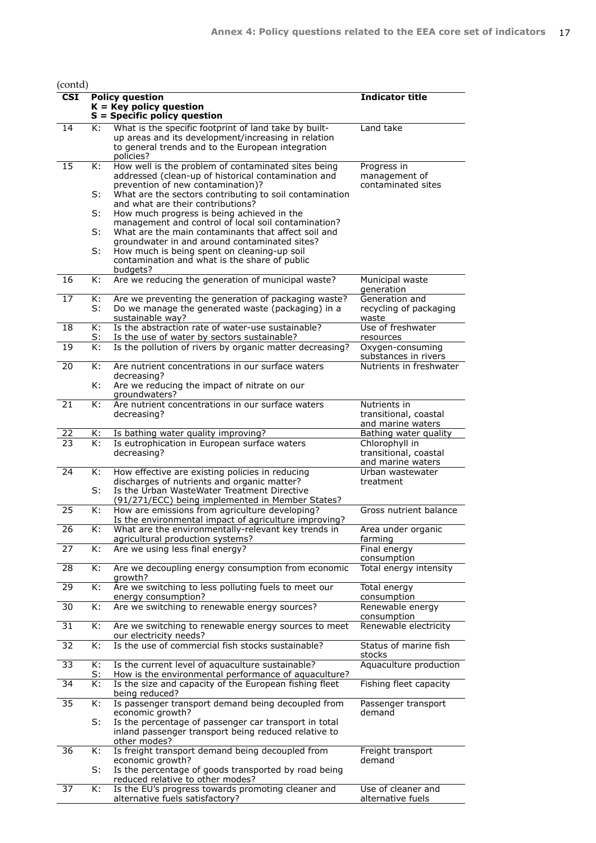$(\text{contd})$ 

| $\overline{\text{CSI}}$ |                 | <b>Policy question</b><br>$K = Key$ policy question<br>$S =$ Specific policy question                                                                                          | <b>Indicator title</b>                                       |
|-------------------------|-----------------|--------------------------------------------------------------------------------------------------------------------------------------------------------------------------------|--------------------------------------------------------------|
| 14                      | K:              | What is the specific footprint of land take by built-<br>up areas and its development/increasing in relation<br>to general trends and to the European integration<br>policies? | Land take                                                    |
| 15                      | K:              | How well is the problem of contaminated sites being<br>addressed (clean-up of historical contamination and<br>prevention of new contamination)?                                | Progress in<br>management of<br>contaminated sites           |
|                         | S:              | What are the sectors contributing to soil contamination<br>and what are their contributions?                                                                                   |                                                              |
|                         | S:              | How much progress is being achieved in the<br>management and control of local soil contamination?                                                                              |                                                              |
|                         | S:              | What are the main contaminants that affect soil and<br>groundwater in and around contaminated sites?                                                                           |                                                              |
|                         | S:              | How much is being spent on cleaning-up soil<br>contamination and what is the share of public<br>budgets?                                                                       |                                                              |
| 16                      | K:              | Are we reducing the generation of municipal waste?                                                                                                                             | Municipal waste<br>generation                                |
| 17                      | К:<br>S:        | Are we preventing the generation of packaging waste?<br>Do we manage the generated waste (packaging) in a<br>sustainable way?                                                  | Generation and<br>recycling of packaging<br>waste            |
| 18                      | К:<br>S:        | Is the abstraction rate of water-use sustainable?<br>Is the use of water by sectors sustainable?                                                                               | Use of freshwater<br>resources                               |
| 19                      | K:              | Is the pollution of rivers by organic matter decreasing?                                                                                                                       | Oxygen-consuming<br>substances in rivers                     |
| 20                      | K:<br>K:        | Are nutrient concentrations in our surface waters<br>decreasing?<br>Are we reducing the impact of nitrate on our                                                               | Nutrients in freshwater                                      |
|                         |                 | qroundwaters?                                                                                                                                                                  |                                                              |
| 21                      | K:              | Are nutrient concentrations in our surface waters<br>decreasing?                                                                                                               | Nutrients in<br>transitional, coastal<br>and marine waters   |
| <u>22</u>               | К:              | Is bathing water quality improving?                                                                                                                                            | Bathing water quality                                        |
| 23                      | K:              | Is eutrophication in European surface waters<br>decreasing?                                                                                                                    | Chlorophyll in<br>transitional, coastal<br>and marine waters |
| 24                      | К:<br>S:        | How effective are existing policies in reducing<br>discharges of nutrients and organic matter?<br>Is the Urban WasteWater Treatment Directive                                  | Urban wastewater<br>treatment                                |
| 25                      | K:              | (91/271/ECC) being implemented in Member States?<br>How are emissions from agriculture developing?                                                                             | Gross nutrient balance                                       |
| 26                      | K:              | Is the environmental impact of agriculture improving?<br>What are the environmentally-relevant key trends in                                                                   | Area under organic                                           |
| 27                      | К:              | agricultural production systems?<br>Are we using less final energy?                                                                                                            | farming<br>Final energy                                      |
| 28                      | К:              | Are we decoupling energy consumption from economic                                                                                                                             | consumption                                                  |
|                         |                 | growth?                                                                                                                                                                        | Total energy intensity                                       |
| 29                      | K:              | Are we switching to less polluting fuels to meet our<br>energy consumption?                                                                                                    | Total energy<br>consumption                                  |
| 30                      | K:              | Are we switching to renewable energy sources?                                                                                                                                  | Renewable energy<br>consumption                              |
| 31                      | K:              | Are we switching to renewable energy sources to meet<br>our electricity needs?                                                                                                 | Renewable electricity                                        |
| 32                      | K:              | Is the use of commercial fish stocks sustainable?                                                                                                                              | Status of marine fish<br>stocks                              |
| 33                      | K:<br><u>s:</u> | Is the current level of aquaculture sustainable?<br>How is the environmental performance of aquaculture?                                                                       | Aquaculture production                                       |
| 34                      | К:              | Is the size and capacity of the European fishing fleet<br>being reduced?                                                                                                       | Fishing fleet capacity                                       |
| 35                      | К:              | Is passenger transport demand being decoupled from<br>economic growth?                                                                                                         | Passenger transport<br>demand                                |
|                         | S:              | Is the percentage of passenger car transport in total<br>inland passenger transport being reduced relative to<br>other modes?                                                  |                                                              |
| 36                      | К:              | Is freight transport demand being decoupled from<br>economic growth?                                                                                                           | Freight transport<br>demand                                  |
|                         | S:              | Is the percentage of goods transported by road being<br>reduced relative to other modes?                                                                                       |                                                              |
| 37                      | К:              | Is the EU's progress towards promoting cleaner and<br>alternative fuels satisfactory?                                                                                          | Use of cleaner and<br>alternative fuels                      |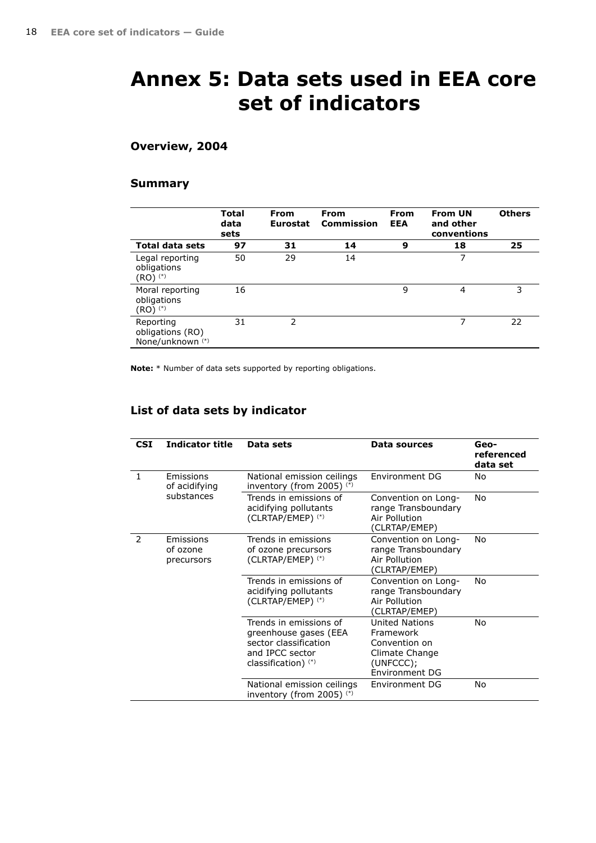# <span id="page-17-0"></span>**Annex 5: Data sets used in EEA core set of indicators**

## **Overview, 2004**

### **Summary**

|                                                              | <b>Total</b><br>data<br>sets | <b>From</b><br><b>Eurostat</b> | <b>From</b><br>Commission | <b>From</b><br><b>EEA</b> | <b>From UN</b><br>and other<br>conventions | <b>Others</b> |
|--------------------------------------------------------------|------------------------------|--------------------------------|---------------------------|---------------------------|--------------------------------------------|---------------|
| <b>Total data sets</b>                                       | 97                           | 31                             | 14                        | 9                         | 18                                         | 25            |
| Legal reporting<br>obligations<br>(RO) (*)                   | 50                           | 29                             | 14                        |                           | 7                                          |               |
| Moral reporting<br>obligations<br>(RO) <sup>(*)</sup>        | 16                           |                                |                           | 9                         | 4                                          | 3             |
| Reporting<br>obligations (RO)<br>None/unknown <sup>(*)</sup> | 31                           | $\mathcal{P}$                  |                           |                           | 7                                          | 22            |

**Note:** \* Number of data sets supported by reporting obligations.

## **List of data sets by indicator**

| <b>CSI</b>    | <b>Indicator title</b>              | Data sets                                                                                                            | Data sources                                                                                         | Geo-<br>referenced<br>data set |
|---------------|-------------------------------------|----------------------------------------------------------------------------------------------------------------------|------------------------------------------------------------------------------------------------------|--------------------------------|
| $\mathbf{1}$  | Emissions<br>of acidifying          | National emission ceilings<br>inventory (from 2005) (*)                                                              | Environment DG                                                                                       | Nο                             |
|               | substances                          | Trends in emissions of<br>acidifying pollutants<br>(CLRTAP/EMEP) (*)                                                 | Convention on Long-<br>range Transboundary<br>Air Pollution<br>(CLRTAP/EMEP)                         | No                             |
| $\mathcal{P}$ | Emissions<br>of ozone<br>precursors | Trends in emissions<br>of ozone precursors<br>(CLRTAP/EMEP) (*)                                                      | Convention on Long-<br>range Transboundary<br>Air Pollution<br>(CLRTAP/EMEP)                         | No                             |
|               |                                     | Trends in emissions of<br>acidifying pollutants<br>(CLRTAP/EMEP) (*)                                                 | Convention on Long-<br>range Transboundary<br>Air Pollution<br>(CLRTAP/EMEP)                         | No                             |
|               |                                     | Trends in emissions of<br>greenhouse gases (EEA<br>sector classification<br>and IPCC sector<br>classification) $(*)$ | <b>United Nations</b><br>Framework<br>Convention on<br>Climate Change<br>(UNFCCC);<br>Environment DG | Nο                             |
|               |                                     | National emission ceilings<br>inventory (from 2005) $(*)$                                                            | Environment DG                                                                                       | No                             |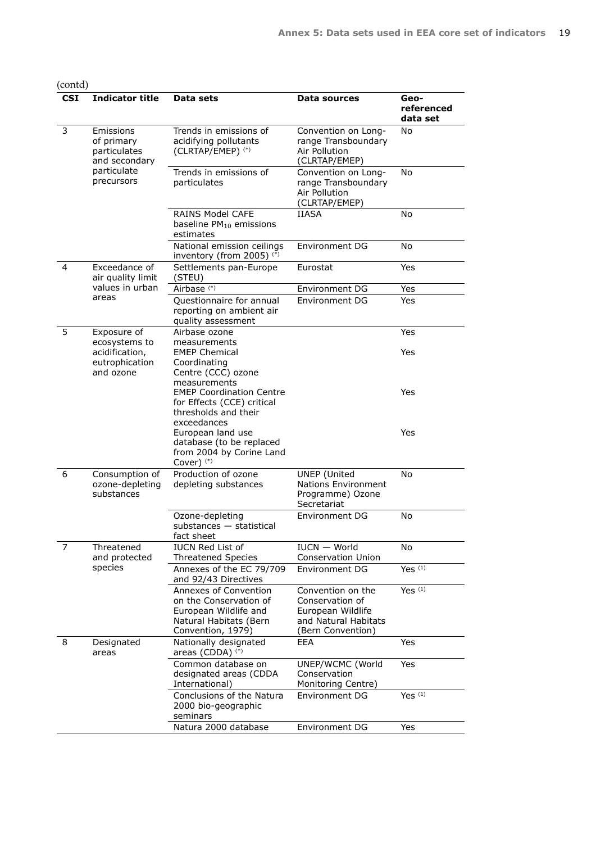| <b>CSI</b>     | <b>Indicator title</b>                                   | Data sets                                                                                                               | Data sources                                                                                           | Geo-<br>referenced<br>data set |
|----------------|----------------------------------------------------------|-------------------------------------------------------------------------------------------------------------------------|--------------------------------------------------------------------------------------------------------|--------------------------------|
| 3              | Emissions<br>of primary<br>particulates<br>and secondary | Trends in emissions of<br>acidifying pollutants<br>(CLRTAP/EMEP) (*)                                                    | Convention on Long-<br>range Transboundary<br>Air Pollution<br>(CLRTAP/EMEP)                           | No                             |
|                | particulate<br>precursors                                | Trends in emissions of<br>particulates                                                                                  | Convention on Long-<br>range Transboundary<br>Air Pollution<br>(CLRTAP/EMEP)                           | No                             |
|                |                                                          | <b>RAINS Model CAFE</b><br>baseline PM <sub>10</sub> emissions<br>estimates                                             | <b>IIASA</b>                                                                                           | No                             |
|                |                                                          | National emission ceilings<br>inventory (from 2005) (*)                                                                 | <b>Environment DG</b>                                                                                  | <b>No</b>                      |
| 4              | Exceedance of<br>air quality limit                       | Settlements pan-Europe<br>(STEU)                                                                                        | Eurostat                                                                                               | Yes                            |
|                | values in urban                                          | Airbase <sup>(*)</sup>                                                                                                  | Environment DG                                                                                         | Yes                            |
|                | areas                                                    | Questionnaire for annual<br>reporting on ambient air<br>quality assessment                                              | Environment DG                                                                                         | Yes                            |
| 5              | Exposure of<br>ecosystems to                             | Airbase ozone<br>measurements                                                                                           |                                                                                                        | Yes                            |
|                | acidification,<br>eutrophication<br>and ozone            | <b>EMEP Chemical</b><br>Coordinating<br>Centre (CCC) ozone<br>measurements                                              |                                                                                                        | Yes                            |
|                |                                                          | <b>EMEP Coordination Centre</b><br>for Effects (CCE) critical<br>thresholds and their<br>exceedances                    |                                                                                                        | Yes                            |
|                |                                                          | European land use<br>database (to be replaced<br>from 2004 by Corine Land<br>Cover $)$ <sup>(*)</sup>                   |                                                                                                        | Yes                            |
| 6              | Consumption of<br>ozone-depleting<br>substances          | Production of ozone<br>depleting substances                                                                             | <b>UNEP</b> (United<br><b>Nations Environment</b><br>Programme) Ozone<br>Secretariat                   | No                             |
|                |                                                          | Ozone-depleting<br>substances - statistical<br>fact sheet                                                               | Environment DG                                                                                         | No                             |
| $\overline{7}$ | Threatened<br>and protected                              | <b>IUCN Red List of</b><br><b>Threatened Species</b>                                                                    | IUCN - World<br><b>Conservation Union</b>                                                              | No                             |
|                | species                                                  | Annexes of the EC 79/709<br>and 92/43 Directives                                                                        | <b>Environment DG</b>                                                                                  | Yes $(1)$                      |
|                |                                                          | Annexes of Convention<br>on the Conservation of<br>European Wildlife and<br>Natural Habitats (Bern<br>Convention, 1979) | Convention on the<br>Conservation of<br>European Wildlife<br>and Natural Habitats<br>(Bern Convention) | Yes $(1)$                      |
| 8              | Designated<br>areas                                      | Nationally designated<br>areas (CDDA) (*)                                                                               | EEA                                                                                                    | Yes                            |
|                |                                                          | Common database on<br>designated areas (CDDA<br>International)                                                          | UNEP/WCMC (World<br>Conservation<br>Monitoring Centre)                                                 | Yes                            |
|                |                                                          | Conclusions of the Natura<br>2000 bio-geographic<br>seminars                                                            | Environment DG                                                                                         | Yes $(1)$                      |
|                |                                                          | Natura 2000 database                                                                                                    | Environment DG                                                                                         | Yes                            |

### (contd)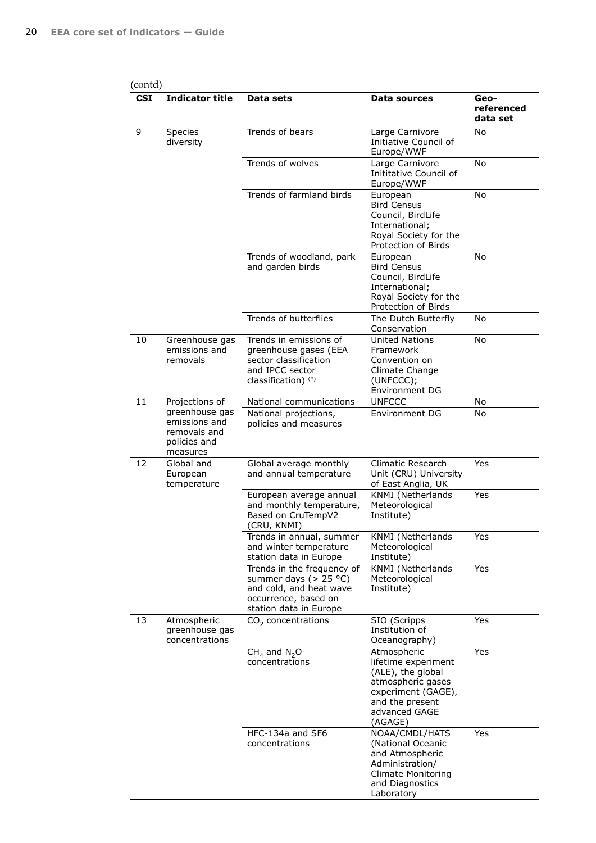| <b>CSI</b> | <b>Indicator title</b>                                                                   | Data sets                                                                                                                           | Data sources                                                                                                                                      | Geo-<br>referenced<br>data set |
|------------|------------------------------------------------------------------------------------------|-------------------------------------------------------------------------------------------------------------------------------------|---------------------------------------------------------------------------------------------------------------------------------------------------|--------------------------------|
| 9          | <b>Species</b><br>diversity                                                              | Trends of bears                                                                                                                     | Large Carnivore<br>Initiative Council of<br>Europe/WWF                                                                                            | No                             |
|            |                                                                                          | Trends of wolves                                                                                                                    | Large Carnivore<br>Inititative Council of<br>Europe/WWF                                                                                           | <b>No</b>                      |
|            |                                                                                          | Trends of farmland birds                                                                                                            | European<br><b>Bird Census</b><br>Council, BirdLife<br>International;<br>Royal Society for the<br>Protection of Birds                             | No                             |
|            |                                                                                          | Trends of woodland, park<br>and garden birds                                                                                        | European<br><b>Bird Census</b><br>Council, BirdLife<br>International;<br>Royal Society for the<br>Protection of Birds                             | No                             |
|            |                                                                                          | Trends of butterflies                                                                                                               | The Dutch Butterfly<br>Conservation                                                                                                               | No                             |
| 10         | Greenhouse gas<br>emissions and<br>removals                                              | Trends in emissions of<br>greenhouse gases (EEA<br>sector classification<br>and IPCC sector<br>classification) <sup>(*)</sup>       | United Nations<br>Framework<br>Convention on<br>Climate Change<br>(UNFCCC);<br>Environment DG                                                     | No                             |
| 11         | Projections of                                                                           | National communications                                                                                                             | <b>UNFCCC</b>                                                                                                                                     | No                             |
|            | greenhouse gas<br>emissions and<br>removals and<br>policies and<br>measures              | National projections,<br>policies and measures                                                                                      | <b>Environment DG</b>                                                                                                                             | No                             |
| 12         | Global and<br>European<br>temperature<br>Atmospheric<br>greenhouse gas<br>concentrations | Global average monthly<br>and annual temperature                                                                                    | Climatic Research<br>Unit (CRU) University<br>of East Anglia, UK                                                                                  | <b>Yes</b>                     |
|            |                                                                                          | European average annual<br>and monthly temperature,<br>Based on CruTempV2<br>(CRU, KNMI)                                            | KNMI (Netherlands<br>Meteorological<br>Institute)                                                                                                 | Yes                            |
|            |                                                                                          | Trends in annual, summer<br>and winter temperature<br>station data in Europe                                                        | KNMI (Netherlands<br>Meteorological<br>Institute)                                                                                                 | Yes                            |
| 13         |                                                                                          | Trends in the frequency of<br>summer days ( $> 25$ °C)<br>and cold, and heat wave<br>occurrence, based on<br>station data in Europe | KNMI (Netherlands<br>Meteorological<br>Institute)                                                                                                 | Yes                            |
|            |                                                                                          | $CO2$ concentrations                                                                                                                | SIO (Scripps<br>Institution of<br>Oceanography)                                                                                                   | Yes                            |
|            |                                                                                          | $CH4$ and $N2O$<br>concentrations                                                                                                   | Atmospheric<br>lifetime experiment<br>(ALE), the global<br>atmospheric gases<br>experiment (GAGE),<br>and the present<br>advanced GAGE<br>(AGAGE) | Yes                            |
|            |                                                                                          | HFC-134a and SF6<br>concentrations                                                                                                  | NOAA/CMDL/HATS<br>(National Oceanic<br>and Atmospheric<br>Administration/<br><b>Climate Monitoring</b><br>and Diagnostics<br>Laboratory           | Yes                            |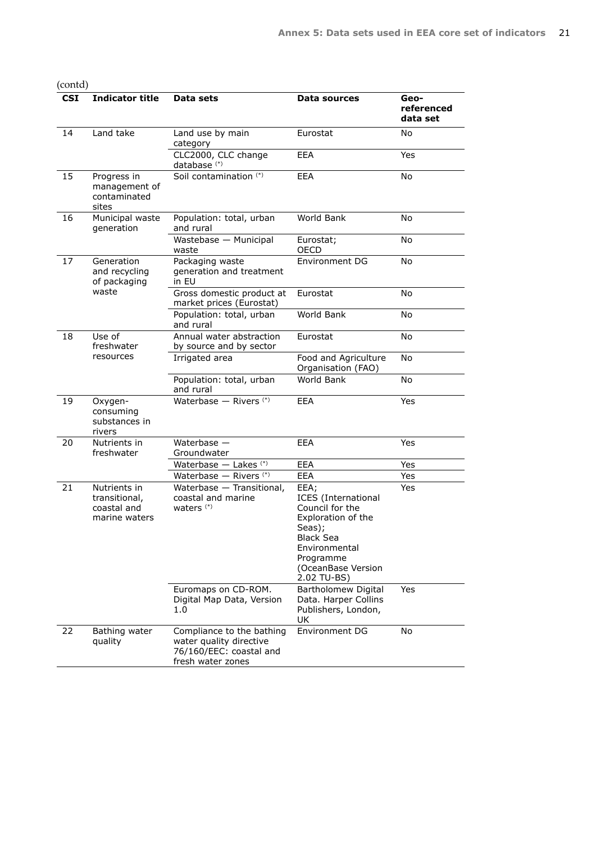| onta |  |
|------|--|
|      |  |

| <b>CSI</b> | <b>Indicator title</b>                                        | Data sets                                                                                            | Data sources                                                                                                                                                                 | Geo-<br>referenced<br>data set |
|------------|---------------------------------------------------------------|------------------------------------------------------------------------------------------------------|------------------------------------------------------------------------------------------------------------------------------------------------------------------------------|--------------------------------|
| 14         | Land take                                                     | Land use by main<br>category                                                                         | Eurostat                                                                                                                                                                     | No                             |
|            |                                                               | CLC2000, CLC change<br>database <sup>(*)</sup>                                                       | <b>EEA</b>                                                                                                                                                                   | Yes                            |
| 15         | Progress in<br>management of<br>contaminated<br>sites         | Soil contamination (*)                                                                               | <b>EEA</b>                                                                                                                                                                   | No                             |
| 16         | Municipal waste<br>generation                                 | Population: total, urban<br>and rural                                                                | World Bank                                                                                                                                                                   | No                             |
|            |                                                               | Wastebase - Municipal<br>waste                                                                       | Eurostat;<br><b>OECD</b>                                                                                                                                                     | No                             |
| 17         | Generation<br>and recycling<br>of packaging                   | Packaging waste<br>generation and treatment<br>in EU                                                 | Environment DG                                                                                                                                                               | No                             |
|            | waste                                                         | Gross domestic product at<br>market prices (Eurostat)                                                | Eurostat                                                                                                                                                                     | No                             |
|            |                                                               | Population: total, urban<br>and rural                                                                | World Bank                                                                                                                                                                   | No                             |
| 18         | Use of<br>freshwater<br>resources                             | Annual water abstraction<br>by source and by sector                                                  | Eurostat                                                                                                                                                                     | No                             |
|            |                                                               | Irrigated area                                                                                       | Food and Agriculture<br>Organisation (FAO)                                                                                                                                   | No                             |
|            |                                                               | Population: total, urban<br>and rural                                                                | World Bank                                                                                                                                                                   | No                             |
| 19         | Oxygen-<br>consuming<br>substances in<br>rivers               | Waterbase - Rivers (*)                                                                               | <b>EEA</b>                                                                                                                                                                   | Yes                            |
| 20         | Nutrients in<br>freshwater                                    | Waterbase $-$<br>Groundwater                                                                         | <b>EEA</b>                                                                                                                                                                   | Yes                            |
|            |                                                               | Waterbase - Lakes (*)                                                                                | <b>EEA</b>                                                                                                                                                                   | Yes                            |
|            |                                                               | Waterbase - Rivers <sup>(*)</sup>                                                                    | <b>EEA</b>                                                                                                                                                                   | Yes                            |
| 21         | Nutrients in<br>transitional,<br>coastal and<br>marine waters | Waterbase - Transitional,<br>coastal and marine<br>waters $(*)$                                      | EEA;<br><b>ICES</b> (International<br>Council for the<br>Exploration of the<br>Seas);<br><b>Black Sea</b><br>Environmental<br>Programme<br>(OceanBase Version<br>2.02 TU-BS) | Yes                            |
|            |                                                               | Euromaps on CD-ROM.<br>Digital Map Data, Version<br>1.0                                              | Bartholomew Digital<br>Data. Harper Collins<br>Publishers, London,<br>UK                                                                                                     | Yes                            |
| 22         | Bathing water<br>quality                                      | Compliance to the bathing<br>water quality directive<br>76/160/EEC: coastal and<br>fresh water zones | <b>Environment DG</b>                                                                                                                                                        | No                             |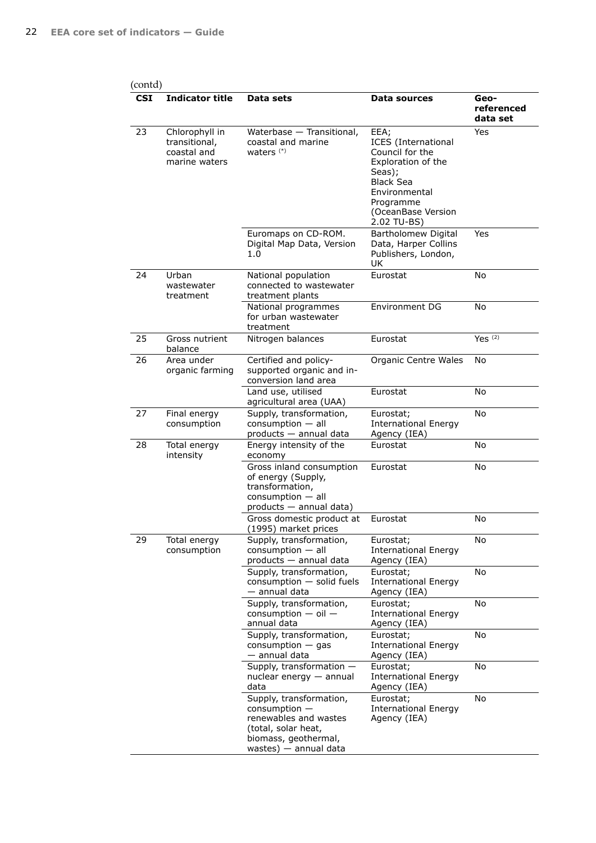| <b>CSI</b> | <b>Indicator title</b>                                          | Data sets                                                                                                                                     | Data sources                                                                                                                                                                 | Geo-<br>referenced<br>data set |
|------------|-----------------------------------------------------------------|-----------------------------------------------------------------------------------------------------------------------------------------------|------------------------------------------------------------------------------------------------------------------------------------------------------------------------------|--------------------------------|
| 23         | Chlorophyll in<br>transitional,<br>coastal and<br>marine waters | Waterbase - Transitional,<br>coastal and marine<br>waters $(*)$                                                                               | EEA;<br><b>ICES</b> (International<br>Council for the<br>Exploration of the<br>Seas);<br><b>Black Sea</b><br>Environmental<br>Programme<br>(OceanBase Version<br>2.02 TU-BS) | Yes                            |
|            |                                                                 | Euromaps on CD-ROM.<br>Digital Map Data, Version<br>1.0                                                                                       | Bartholomew Digital<br>Data, Harper Collins<br>Publishers, London,<br><b>UK</b>                                                                                              | Yes                            |
| 24         | Urban<br>wastewater<br>treatment                                | National population<br>connected to wastewater<br>treatment plants                                                                            | Eurostat                                                                                                                                                                     | No                             |
|            |                                                                 | National programmes<br>for urban wastewater<br>treatment                                                                                      | Environment DG                                                                                                                                                               | No                             |
| 25         | Gross nutrient<br>balance                                       | Nitrogen balances                                                                                                                             | Eurostat                                                                                                                                                                     | Yes $(2)$                      |
| 26         | Area under<br>organic farming                                   | Certified and policy-<br>supported organic and in-<br>conversion land area                                                                    | Organic Centre Wales                                                                                                                                                         | <b>No</b>                      |
|            |                                                                 | Land use, utilised<br>agricultural area (UAA)                                                                                                 | Eurostat                                                                                                                                                                     | No                             |
| 27         | Final energy<br>consumption                                     | Supply, transformation,<br>$consumption - all$<br>products — annual data                                                                      | Eurostat;<br><b>International Energy</b><br>Agency (IEA)                                                                                                                     | <b>No</b>                      |
| 28         | Total energy<br>intensity                                       | Energy intensity of the<br>economy                                                                                                            | Eurostat                                                                                                                                                                     | No                             |
|            |                                                                 | Gross inland consumption<br>of energy (Supply,<br>transformation,<br>consumption - all<br>products - annual data)                             | Eurostat                                                                                                                                                                     | No                             |
|            |                                                                 | Gross domestic product at<br>(1995) market prices                                                                                             | Eurostat                                                                                                                                                                     | No                             |
| 29         | Total energy<br>consumption                                     | Supply, transformation,<br>consumption - all<br>products - annual data                                                                        | Eurostat;<br><b>International Energy</b><br>Agency (IEA)                                                                                                                     | No                             |
|            |                                                                 | Supply, transformation,<br>consumption - solid fuels<br>— annual data                                                                         | Eurostat;<br><b>International Energy</b><br>Agency (IEA)                                                                                                                     | No                             |
|            |                                                                 | Supply, transformation,<br>$consumption - oil -$<br>annual data                                                                               | Eurostat;<br><b>International Energy</b><br>Agency (IEA)                                                                                                                     | No                             |
|            |                                                                 | Supply, transformation,<br>$consumption - gas$<br>— annual data                                                                               | Eurostat;<br><b>International Energy</b><br>Agency (IEA)                                                                                                                     | No                             |
|            |                                                                 | Supply, transformation -<br>$nuclear$ energy $-$ annual<br>data                                                                               | Eurostat;<br><b>International Energy</b><br>Agency (IEA)                                                                                                                     | No                             |
|            |                                                                 | Supply, transformation,<br>$consumption$ –<br>renewables and wastes<br>(total, solar heat,<br>biomass, geothermal,<br>wastes) $-$ annual data | Eurostat;<br><b>International Energy</b><br>Agency (IEA)                                                                                                                     | No                             |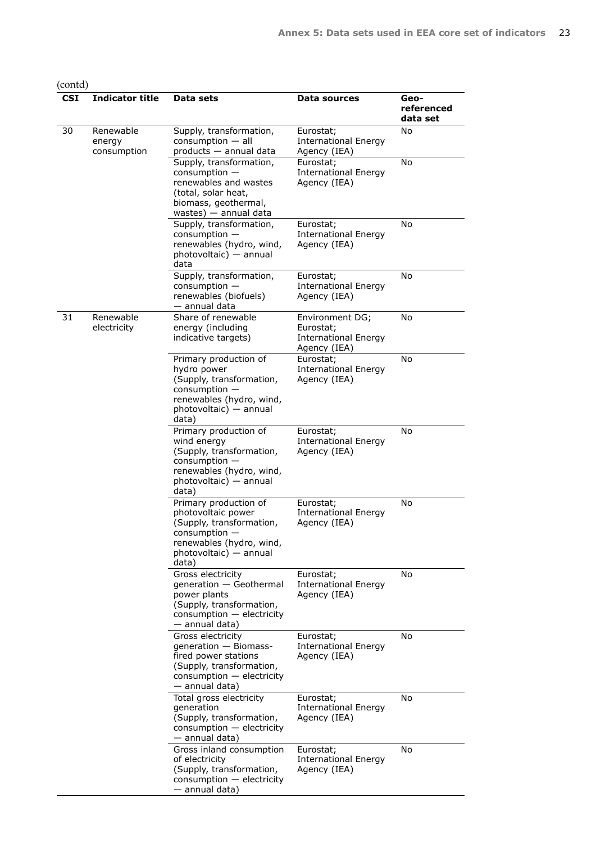| <b>CSI</b> | <b>Indicator title</b>             | Data sets                                                                                                                                                                                                                 | Data sources                                                                                                                                              | Geo-<br>referenced<br>data set                           |    |
|------------|------------------------------------|---------------------------------------------------------------------------------------------------------------------------------------------------------------------------------------------------------------------------|-----------------------------------------------------------------------------------------------------------------------------------------------------------|----------------------------------------------------------|----|
| 30         | Renewable<br>energy<br>consumption | Supply, transformation,<br>$consumption - all$<br>products - annual data<br>Supply, transformation,<br>$consumption -$<br>renewables and wastes<br>(total, solar heat,<br>biomass, geothermal,<br>wastes) $-$ annual data | Eurostat;<br><b>International Energy</b><br>Agency (IEA)<br>Eurostat;<br><b>International Energy</b><br>Agency (IEA)                                      | No<br>No                                                 |    |
|            |                                    | Supply, transformation,<br>consumption -<br>renewables (hydro, wind,<br>photovoltaic) - annual<br>data                                                                                                                    | Eurostat;<br><b>International Energy</b><br>Agency (IEA)                                                                                                  | No                                                       |    |
|            |                                    | Supply, transformation,<br>$consumption -$<br>renewables (biofuels)<br>— annual data                                                                                                                                      | Eurostat;<br><b>International Energy</b><br>Agency (IEA)                                                                                                  | No                                                       |    |
| 31         | Renewable<br>electricity           | Share of renewable<br>energy (including<br>indicative targets)                                                                                                                                                            | Environment DG;<br>Eurostat;<br><b>International Energy</b><br>Agency (IEA)                                                                               | No                                                       |    |
|            |                                    | Primary production of<br>hydro power<br>(Supply, transformation,<br>$consumption -$<br>renewables (hydro, wind,<br>photovoltaic) — annual<br>data)                                                                        | Eurostat;<br><b>International Energy</b><br>Agency (IEA)                                                                                                  | No                                                       |    |
|            |                                    | Primary production of<br>wind energy<br>(Supply, transformation,<br>$consumption -$<br>renewables (hydro, wind,<br>photovoltaic) — annual<br>data)                                                                        | Eurostat;<br><b>International Energy</b><br>Agency (IEA)                                                                                                  | No                                                       |    |
|            |                                    |                                                                                                                                                                                                                           | Primary production of<br>photovoltaic power<br>(Supply, transformation,<br>$consumption -$<br>renewables (hydro, wind,<br>photovoltaic) — annual<br>data) | Eurostat;<br><b>International Energy</b><br>Agency (IEA) | No |
|            |                                    |                                                                                                                                                                                                                           | Gross electricity<br>generation - Geothermal<br>power plants<br>(Supply, transformation,<br>consumption - electricity<br>— annual data)                   | Eurostat;<br><b>International Energy</b><br>Agency (IEA) | No |
|            |                                    | Gross electricity<br>generation - Biomass-<br>fired power stations<br>(Supply, transformation,<br>$consumption - electricity$<br>— annual data)                                                                           | Eurostat;<br><b>International Energy</b><br>Agency (IEA)                                                                                                  | No                                                       |    |
|            |                                    | Total gross electricity<br>generation<br>(Supply, transformation,<br>consumption - electricity<br>— annual data)                                                                                                          | Eurostat;<br><b>International Energy</b><br>Agency (IEA)                                                                                                  | No                                                       |    |
|            |                                    | Gross inland consumption<br>of electricity<br>(Supply, transformation,<br>consumption - electricity<br>— annual data)                                                                                                     | Eurostat;<br><b>International Energy</b><br>Agency (IEA)                                                                                                  | No                                                       |    |

## (contd)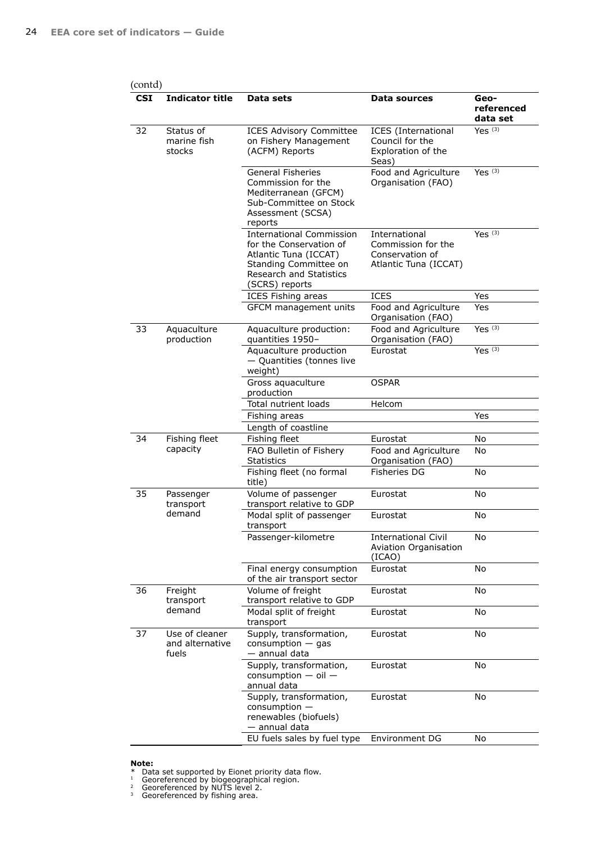| (contd)    |                                            |                                                                                                                                                           |                                                                                 |                                |
|------------|--------------------------------------------|-----------------------------------------------------------------------------------------------------------------------------------------------------------|---------------------------------------------------------------------------------|--------------------------------|
| <b>CSI</b> | <b>Indicator title</b>                     | Data sets                                                                                                                                                 | Data sources                                                                    | Geo-<br>referenced<br>data set |
| 32         | Status of<br>marine fish<br>stocks         | <b>ICES Advisory Committee</b><br>on Fishery Management<br>(ACFM) Reports                                                                                 | <b>ICES</b> (International<br>Council for the<br>Exploration of the<br>Seas)    | Yes $(3)$                      |
|            |                                            | <b>General Fisheries</b><br>Commission for the<br>Mediterranean (GFCM)<br>Sub-Committee on Stock<br>Assessment (SCSA)<br>reports                          | Food and Agriculture<br>Organisation (FAO)                                      | Yes $(3)$                      |
|            |                                            | <b>International Commission</b><br>for the Conservation of<br>Atlantic Tuna (ICCAT)<br>Standing Committee on<br>Research and Statistics<br>(SCRS) reports | International<br>Commission for the<br>Conservation of<br>Atlantic Tuna (ICCAT) | Yes $(3)$                      |
|            |                                            | <b>ICES Fishing areas</b>                                                                                                                                 | ICES                                                                            | Yes                            |
|            |                                            | GFCM management units                                                                                                                                     | Food and Agriculture<br>Organisation (FAO)                                      | Yes                            |
| 33         | Aquaculture<br>production                  | Aquaculture production:<br>quantities 1950-                                                                                                               | Food and Agriculture<br>Organisation (FAO)                                      | Yes $(3)$                      |
|            |                                            | Aquaculture production<br>- Quantities (tonnes live<br>weight)                                                                                            | Eurostat                                                                        | Yes $(3)$                      |
|            |                                            | Gross aquaculture<br>production                                                                                                                           | <b>OSPAR</b>                                                                    |                                |
|            |                                            | Total nutrient loads                                                                                                                                      | Helcom                                                                          |                                |
|            |                                            | Fishing areas                                                                                                                                             |                                                                                 | Yes                            |
|            |                                            | Length of coastline                                                                                                                                       |                                                                                 |                                |
| 34         | Fishing fleet                              | Fishing fleet                                                                                                                                             | Eurostat                                                                        | No                             |
|            | capacity                                   | FAO Bulletin of Fishery<br>Statistics                                                                                                                     | Food and Agriculture<br>Organisation (FAO)                                      | No                             |
|            |                                            | Fishing fleet (no formal<br>title)                                                                                                                        | <b>Fisheries DG</b>                                                             | No                             |
| 35         | Passenger<br>transport                     | Volume of passenger<br>transport relative to GDP                                                                                                          | Eurostat                                                                        | No                             |
|            | demand                                     | Modal split of passenger<br>transport                                                                                                                     | Eurostat                                                                        | No                             |
|            |                                            | Passenger-kilometre                                                                                                                                       | <b>International Civil</b><br><b>Aviation Organisation</b><br>(ICAO)            | No                             |
|            |                                            | Final energy consumption<br>of the air transport sector                                                                                                   | Eurostat                                                                        | No                             |
| 36         | Freight<br>transport                       | Volume of freight<br>transport relative to GDP                                                                                                            | Eurostat                                                                        | No                             |
|            | demand                                     | Modal split of freight<br>transport                                                                                                                       | Eurostat                                                                        | No                             |
| 37         | Use of cleaner<br>and alternative<br>fuels | Supply, transformation,<br>$consumption - gas$<br>- annual data                                                                                           | Eurostat                                                                        | No                             |
|            |                                            | Supply, transformation,<br>consumption $-$ oil $-$<br>annual data                                                                                         | Eurostat                                                                        | No                             |
|            |                                            | Supply, transformation,<br>$consumption -$<br>renewables (biofuels)<br>— annual data                                                                      | Eurostat                                                                        | No                             |
|            |                                            | EU fuels sales by fuel type                                                                                                                               | Environment DG                                                                  | No                             |

 $1$  Georeferenced by biogeographical region.

<sup>2</sup> Georeferenced by NUTS level 2.

<sup>3</sup> Georeferenced by fishing area.

**Note:** \* Data set supported by Eionet priority data flow.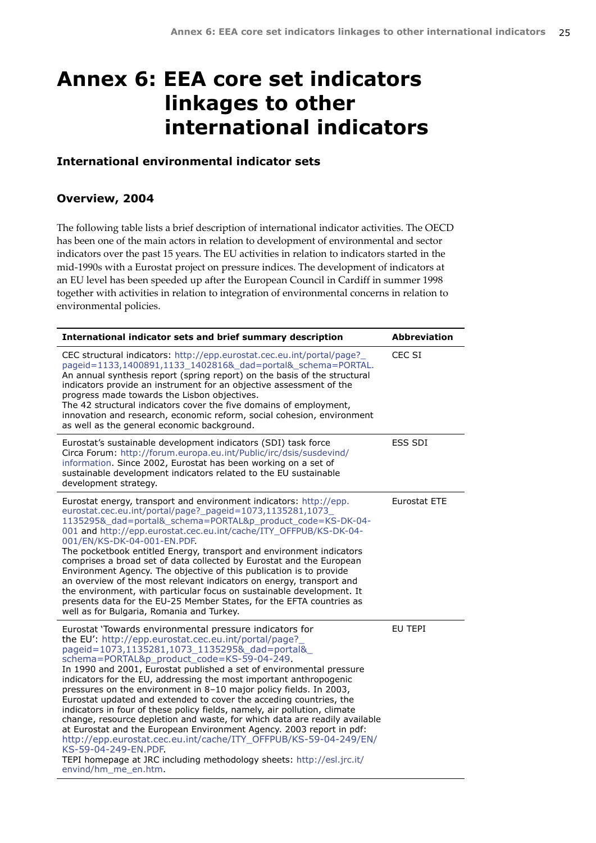# <span id="page-24-0"></span>**Annex 6: EEA core set indicators linkages to other international indicators**

## **International environmental indicator sets**

## **Overview, 2004**

The following table lists a brief description of international indicator activities. The OECD has been one of the main actors in relation to development of environmental and sector indicators over the past 15 years. The EU activities in relation to indicators started in the mid-1990s with a Eurostat project on pressure indices. The development of indicators at an EU level has been speeded up after the European Council in Cardiff in summer 1998 together with activities in relation to integration of environmental concerns in relation to environmental policies.

| International indicator sets and brief summary description                                                                                                                                                                                                                                                                                                                                                                                                                                                                                                                                                                                                                                                                                                                                                                                                                                                                              | <b>Abbreviation</b> |
|-----------------------------------------------------------------------------------------------------------------------------------------------------------------------------------------------------------------------------------------------------------------------------------------------------------------------------------------------------------------------------------------------------------------------------------------------------------------------------------------------------------------------------------------------------------------------------------------------------------------------------------------------------------------------------------------------------------------------------------------------------------------------------------------------------------------------------------------------------------------------------------------------------------------------------------------|---------------------|
| CEC structural indicators: http://epp.eurostat.cec.eu.int/portal/page?<br>pageid=1133,1400891,1133_1402816&_dad=portal&_schema=PORTAL.<br>An annual synthesis report (spring report) on the basis of the structural<br>indicators provide an instrument for an objective assessment of the<br>progress made towards the Lisbon objectives.<br>The 42 structural indicators cover the five domains of employment,<br>innovation and research, economic reform, social cohesion, environment<br>as well as the general economic background.                                                                                                                                                                                                                                                                                                                                                                                               | CEC SI              |
| Eurostat's sustainable development indicators (SDI) task force<br>Circa Forum: http://forum.europa.eu.int/Public/irc/dsis/susdevind/<br>information. Since 2002, Eurostat has been working on a set of<br>sustainable development indicators related to the EU sustainable<br>development strategy.                                                                                                                                                                                                                                                                                                                                                                                                                                                                                                                                                                                                                                     | <b>ESS SDI</b>      |
| Eurostat energy, transport and environment indicators: http://epp.<br>eurostat.cec.eu.int/portal/page?_pageid=1073,1135281,1073_<br>1135295&_dad=portal&_schema=PORTAL&p_product_code=KS-DK-04-<br>001 and http://epp.eurostat.cec.eu.int/cache/ITY_OFFPUB/KS-DK-04-<br>001/EN/KS-DK-04-001-EN.PDF.<br>The pocketbook entitled Energy, transport and environment indicators<br>comprises a broad set of data collected by Eurostat and the European<br>Environment Agency. The objective of this publication is to provide<br>an overview of the most relevant indicators on energy, transport and<br>the environment, with particular focus on sustainable development. It<br>presents data for the EU-25 Member States, for the EFTA countries as<br>well as for Bulgaria, Romania and Turkey.                                                                                                                                        | Eurostat ETE        |
| Eurostat 'Towards environmental pressure indicators for<br>the EU': http://epp.eurostat.cec.eu.int/portal/page?<br>pageid=1073,1135281,1073_1135295&_dad=portal&<br>schema=PORTAL&p_product_code=KS-59-04-249.<br>In 1990 and 2001, Eurostat published a set of environmental pressure<br>indicators for the EU, addressing the most important anthropogenic<br>pressures on the environment in 8-10 major policy fields. In 2003,<br>Eurostat updated and extended to cover the acceding countries, the<br>indicators in four of these policy fields, namely, air pollution, climate<br>change, resource depletion and waste, for which data are readily available<br>at Eurostat and the European Environment Agency. 2003 report in pdf:<br>http://epp.eurostat.cec.eu.int/cache/ITY_OFFPUB/KS-59-04-249/EN/<br>KS-59-04-249-EN.PDF<br>TEPI homepage at JRC including methodology sheets: http://esl.jrc.it/<br>envind/hm_me_en.htm. | EU TEPI             |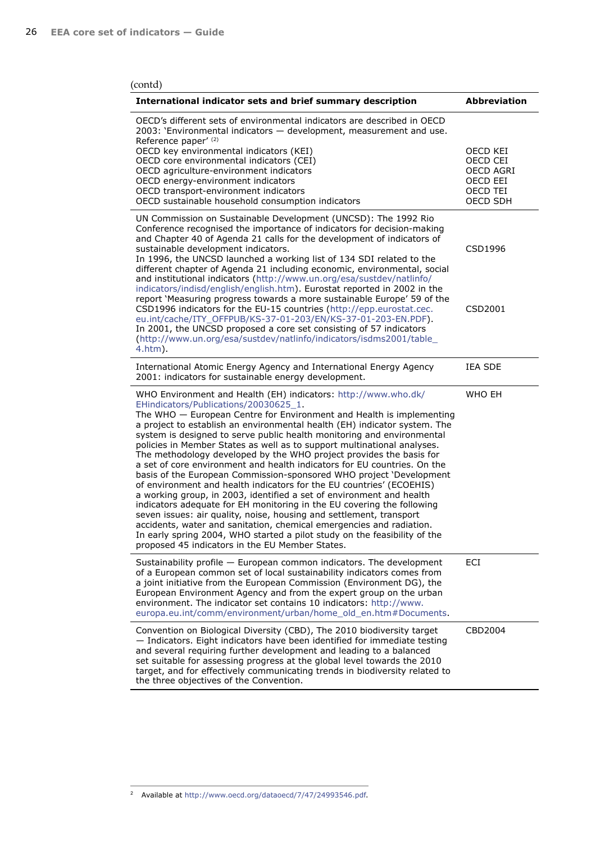| (contd)                                                                                                                                                                                                                                                                                                                                                                                                                                                                                                                                                                                                                                                                                                                                                                                                                                                                                                                                                                                                                                                                                                                                              |                                                                              |
|------------------------------------------------------------------------------------------------------------------------------------------------------------------------------------------------------------------------------------------------------------------------------------------------------------------------------------------------------------------------------------------------------------------------------------------------------------------------------------------------------------------------------------------------------------------------------------------------------------------------------------------------------------------------------------------------------------------------------------------------------------------------------------------------------------------------------------------------------------------------------------------------------------------------------------------------------------------------------------------------------------------------------------------------------------------------------------------------------------------------------------------------------|------------------------------------------------------------------------------|
| International indicator sets and brief summary description                                                                                                                                                                                                                                                                                                                                                                                                                                                                                                                                                                                                                                                                                                                                                                                                                                                                                                                                                                                                                                                                                           | <b>Abbreviation</b>                                                          |
| OECD's different sets of environmental indicators are described in OECD<br>2003: 'Environmental indicators - development, measurement and use.<br>Reference paper' (2)<br>OECD key environmental indicators (KEI)<br>OECD core environmental indicators (CEI)<br>OECD agriculture-environment indicators<br>OECD energy-environment indicators<br>OECD transport-environment indicators<br>OECD sustainable household consumption indicators                                                                                                                                                                                                                                                                                                                                                                                                                                                                                                                                                                                                                                                                                                         | OECD KEI<br>OECD CEI<br><b>OECD AGRI</b><br>OECD EEI<br>OECD TEI<br>OECD SDH |
| UN Commission on Sustainable Development (UNCSD): The 1992 Rio<br>Conference recognised the importance of indicators for decision-making<br>and Chapter 40 of Agenda 21 calls for the development of indicators of<br>sustainable development indicators.<br>In 1996, the UNCSD launched a working list of 134 SDI related to the<br>different chapter of Agenda 21 including economic, environmental, social<br>and institutional indicators (http://www.un.org/esa/sustdev/natlinfo/<br>indicators/indisd/english/english.htm). Eurostat reported in 2002 in the<br>report 'Measuring progress towards a more sustainable Europe' 59 of the<br>CSD1996 indicators for the EU-15 countries (http://epp.eurostat.cec.<br>eu.int/cache/ITY OFFPUB/KS-37-01-203/EN/KS-37-01-203-EN.PDF).<br>In 2001, the UNCSD proposed a core set consisting of 57 indicators<br>(http://www.un.org/esa/sustdev/natlinfo/indicators/isdms2001/table_<br>$4.htm$ ).                                                                                                                                                                                                    | CSD1996<br>CSD2001                                                           |
| International Atomic Energy Agency and International Energy Agency<br>2001: indicators for sustainable energy development.                                                                                                                                                                                                                                                                                                                                                                                                                                                                                                                                                                                                                                                                                                                                                                                                                                                                                                                                                                                                                           | <b>IEA SDE</b>                                                               |
| WHO Environment and Health (EH) indicators: http://www.who.dk/<br>EHindicators/Publications/20030625_1.<br>The WHO - European Centre for Environment and Health is implementing<br>a project to establish an environmental health (EH) indicator system. The<br>system is designed to serve public health monitoring and environmental<br>policies in Member States as well as to support multinational analyses.<br>The methodology developed by the WHO project provides the basis for<br>a set of core environment and health indicators for EU countries. On the<br>basis of the European Commission-sponsored WHO project 'Development<br>of environment and health indicators for the EU countries' (ECOEHIS)<br>a working group, in 2003, identified a set of environment and health<br>indicators adequate for EH monitoring in the EU covering the following<br>seven issues: air quality, noise, housing and settlement, transport<br>accidents, water and sanitation, chemical emergencies and radiation.<br>In early spring 2004, WHO started a pilot study on the feasibility of the<br>proposed 45 indicators in the EU Member States. | WHO EH                                                                       |
| Sustainability profile - European common indicators. The development<br>of a European common set of local sustainability indicators comes from<br>a joint initiative from the European Commission (Environment DG), the<br>European Environment Agency and from the expert group on the urban<br>environment. The indicator set contains 10 indicators: http://www.<br>europa.eu.int/comm/environment/urban/home_old_en.htm#Documents.                                                                                                                                                                                                                                                                                                                                                                                                                                                                                                                                                                                                                                                                                                               | ECI                                                                          |
| Convention on Biological Diversity (CBD), The 2010 biodiversity target<br>- Indicators. Eight indicators have been identified for immediate testing<br>and several requiring further development and leading to a balanced<br>set suitable for assessing progress at the global level towards the 2010<br>target, and for effectively communicating trends in biodiversity related to<br>the three objectives of the Convention.                                                                                                                                                                                                                                                                                                                                                                                                                                                                                                                                                                                                                                                                                                                     | CBD2004                                                                      |

<sup>2</sup> Available at [http://www.oecd.org/dataoecd/7/47/24993546.pdf](www.oecd.org/dataoecd/7/47/24993546.pdf).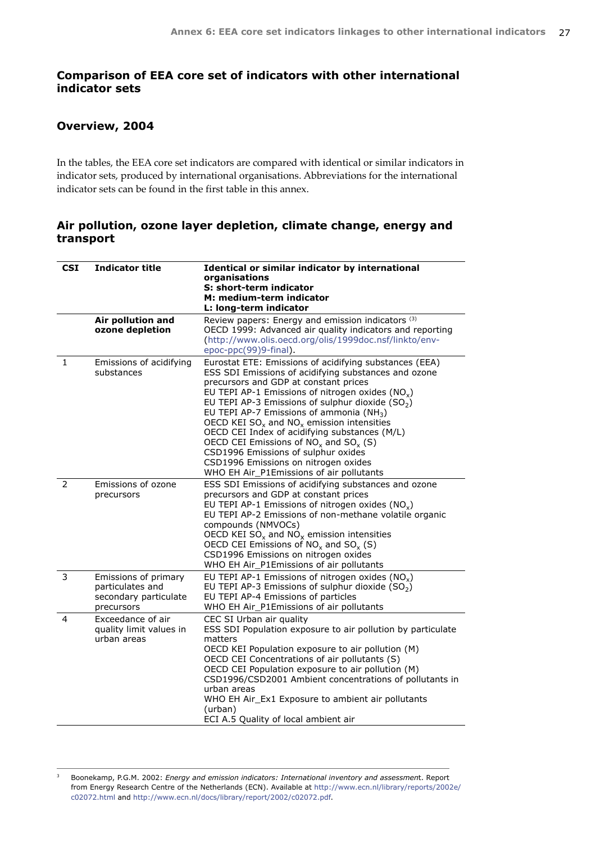## **Comparison of EEA core set of indicators with other international indicator sets**

## **Overview, 2004**

In the tables, the EEA core set indicators are compared with identical or similar indicators in indicator sets, produced by international organisations. Abbreviations for the international indicator sets can be found in the first table in this annex.

### **Air pollution, ozone layer depletion, climate change, energy and transport**

| <b>CSI</b>   | <b>Indicator title</b>                                                          | Identical or similar indicator by international<br>organisations<br>S: short-term indicator<br>M: medium-term indicator<br>L: long-term indicator                                                                                                                                                                                                                                                                                                                                                                                                                                                         |
|--------------|---------------------------------------------------------------------------------|-----------------------------------------------------------------------------------------------------------------------------------------------------------------------------------------------------------------------------------------------------------------------------------------------------------------------------------------------------------------------------------------------------------------------------------------------------------------------------------------------------------------------------------------------------------------------------------------------------------|
|              | Air pollution and<br>ozone depletion                                            | Review papers: Energy and emission indicators (3)<br>OECD 1999: Advanced air quality indicators and reporting<br>(http://www.olis.oecd.org/olis/1999doc.nsf/linkto/env-<br>epoc-ppc(99)9-final).                                                                                                                                                                                                                                                                                                                                                                                                          |
| $\mathbf{1}$ | Emissions of acidifying<br>substances                                           | Eurostat ETE: Emissions of acidifying substances (EEA)<br>ESS SDI Emissions of acidifying substances and ozone<br>precursors and GDP at constant prices<br>EU TEPI AP-1 Emissions of nitrogen oxides ( $NOx$ )<br>EU TEPI AP-3 Emissions of sulphur dioxide $(SO2)$<br>EU TEPI AP-7 Emissions of ammonia (NH <sub>3</sub> )<br>OECD KEI $SO_x$ and $NO_x$ emission intensities<br>OECD CEI Index of acidifying substances (M/L)<br>OECD CEI Emissions of $NO_x$ and $SO_x$ (S)<br>CSD1996 Emissions of sulphur oxides<br>CSD1996 Emissions on nitrogen oxides<br>WHO EH Air_P1Emissions of air pollutants |
| 2            | Emissions of ozone<br>precursors                                                | ESS SDI Emissions of acidifying substances and ozone<br>precursors and GDP at constant prices<br>EU TEPI AP-1 Emissions of nitrogen oxides ( $NOx$ )<br>EU TEPI AP-2 Emissions of non-methane volatile organic<br>compounds (NMVOCs)<br>OECD KEI $SO_x$ and $NO_x$ emission intensities<br>OECD CEI Emissions of $NO_x$ and $SO_x$ (S)<br>CSD1996 Emissions on nitrogen oxides<br>WHO EH Air_P1Emissions of air pollutants                                                                                                                                                                                |
| 3            | Emissions of primary<br>particulates and<br>secondary particulate<br>precursors | EU TEPI AP-1 Emissions of nitrogen oxides $(NOx)$<br>EU TEPI AP-3 Emissions of sulphur dioxide $(SO2)$<br>EU TEPI AP-4 Emissions of particles<br>WHO EH Air_P1Emissions of air pollutants                                                                                                                                                                                                                                                                                                                                                                                                                 |
| 4            | Exceedance of air<br>quality limit values in<br>urban areas                     | CEC SI Urban air quality<br>ESS SDI Population exposure to air pollution by particulate<br>matters<br>OECD KEI Population exposure to air pollution (M)<br>OECD CEI Concentrations of air pollutants (S)<br>OECD CEI Population exposure to air pollution (M)<br>CSD1996/CSD2001 Ambient concentrations of pollutants in<br>urban areas<br>WHO EH Air Ex1 Exposure to ambient air pollutants<br>(urban)<br>ECI A.5 Quality of local ambient air                                                                                                                                                           |

3 Boonekamp, P.G.M. 2002: *Energy and emission indicators: International inventory and assessmen*t. Report from Energy Research Centre of the Netherlands (ECN). Available at [http://www.ecn.nl/library/reports/2002e/](www.ecn.nl/library/reports/2002e/c02072.html) [c02072.html](www.ecn.nl/library/reports/2002e/c02072.html) and [http://www.ecn.nl/docs/library/report/2002/c02072.pdf](www.ecn.nl/docs/library/report/2002/c02072.pdf).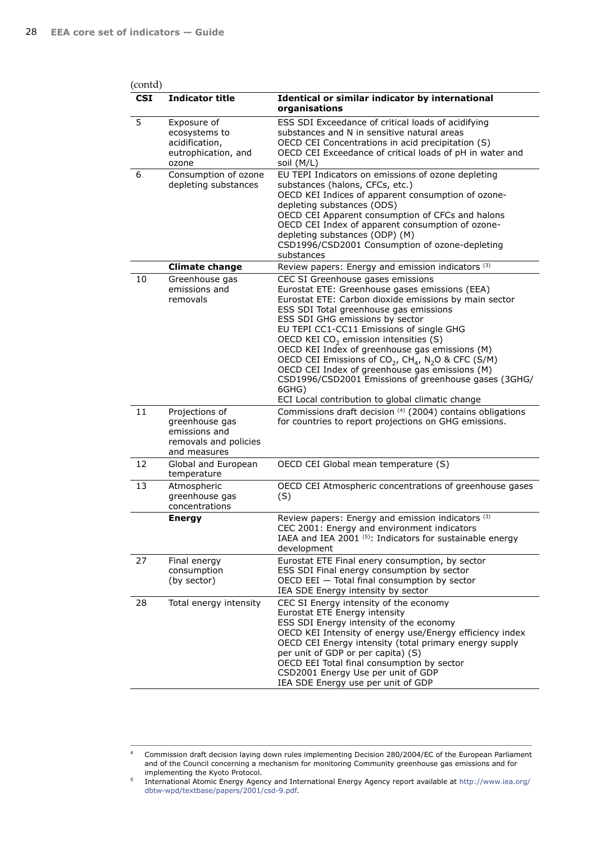| (contd)    |                                                                                            |                                                                                                                                                                                                                                                                                                                                                                                                                                                                                                                                                                                                                                               |
|------------|--------------------------------------------------------------------------------------------|-----------------------------------------------------------------------------------------------------------------------------------------------------------------------------------------------------------------------------------------------------------------------------------------------------------------------------------------------------------------------------------------------------------------------------------------------------------------------------------------------------------------------------------------------------------------------------------------------------------------------------------------------|
| <b>CSI</b> | <b>Indicator title</b>                                                                     | Identical or similar indicator by international<br>organisations                                                                                                                                                                                                                                                                                                                                                                                                                                                                                                                                                                              |
| 5          | Exposure of<br>ecosystems to<br>acidification,<br>eutrophication, and<br>ozone             | ESS SDI Exceedance of critical loads of acidifying<br>substances and N in sensitive natural areas<br>OECD CEI Concentrations in acid precipitation (S)<br>OECD CEI Exceedance of critical loads of pH in water and<br>soil (M/L)                                                                                                                                                                                                                                                                                                                                                                                                              |
| 6          | Consumption of ozone<br>depleting substances                                               | EU TEPI Indicators on emissions of ozone depleting<br>substances (halons, CFCs, etc.)<br>OECD KEI Indices of apparent consumption of ozone-<br>depleting substances (ODS)<br>OECD CEI Apparent consumption of CFCs and halons<br>OECD CEI Index of apparent consumption of ozone-<br>depleting substances (ODP) (M)<br>CSD1996/CSD2001 Consumption of ozone-depleting<br>substances                                                                                                                                                                                                                                                           |
|            | <b>Climate change</b>                                                                      | Review papers: Energy and emission indicators (3)                                                                                                                                                                                                                                                                                                                                                                                                                                                                                                                                                                                             |
| 10         | Greenhouse gas<br>emissions and<br>removals                                                | CEC SI Greenhouse gases emissions<br>Eurostat ETE: Greenhouse gases emissions (EEA)<br>Eurostat ETE: Carbon dioxide emissions by main sector<br>ESS SDI Total greenhouse gas emissions<br>ESS SDI GHG emissions by sector<br>EU TEPI CC1-CC11 Emissions of single GHG<br>OECD KEI CO <sub>2</sub> emission intensities (S)<br>OECD KEI Index of greenhouse gas emissions (M)<br>OECD CEI Emissions of CO <sub>2</sub> , CH <sub>4</sub> , N <sub>2</sub> O & CFC (S/M)<br>OECD CEI Index of greenhouse gas emissions (M)<br>CSD1996/CSD2001 Emissions of greenhouse gases (3GHG/<br>6GHG)<br>ECI Local contribution to global climatic change |
| 11         | Projections of<br>greenhouse gas<br>emissions and<br>removals and policies<br>and measures | Commissions draft decision (4) (2004) contains obligations<br>for countries to report projections on GHG emissions.                                                                                                                                                                                                                                                                                                                                                                                                                                                                                                                           |
| 12         | Global and European<br>temperature                                                         | OECD CEI Global mean temperature (S)                                                                                                                                                                                                                                                                                                                                                                                                                                                                                                                                                                                                          |
| 13         | Atmospheric<br>greenhouse gas<br>concentrations                                            | OECD CEI Atmospheric concentrations of greenhouse gases<br>(S)                                                                                                                                                                                                                                                                                                                                                                                                                                                                                                                                                                                |
|            | <b>Energy</b>                                                                              | Review papers: Energy and emission indicators (3)<br>CEC 2001: Energy and environment indicators<br>IAEA and IEA 2001 (5): Indicators for sustainable energy<br>development                                                                                                                                                                                                                                                                                                                                                                                                                                                                   |
| 27         | Final energy<br>consumption<br>(by sector)                                                 | Eurostat ETE Final enery consumption, by sector<br>ESS SDI Final energy consumption by sector<br>OECD EEI - Total final consumption by sector<br>IEA SDE Energy intensity by sector                                                                                                                                                                                                                                                                                                                                                                                                                                                           |
| 28         | Total energy intensity                                                                     | CEC SI Energy intensity of the economy<br>Eurostat ETE Energy intensity<br>ESS SDI Energy intensity of the economy<br>OECD KEI Intensity of energy use/Energy efficiency index<br>OECD CEI Energy intensity (total primary energy supply<br>per unit of GDP or per capita) (S)<br>OECD EEI Total final consumption by sector<br>CSD2001 Energy Use per unit of GDP<br>IEA SDE Energy use per unit of GDP                                                                                                                                                                                                                                      |

<sup>4</sup> Commission draft decision laying down rules implementing Decision 280/2004/EC of the European Parliament and of the Council concerning a mechanism for monitoring Community greenhouse gas emissions and for implementing the Kyoto Protocol.

<sup>5</sup> International Atomic Energy Agency and International Energy Agency report available at [http://www.iea.org/](http://www.iea.org/dbtw-wpd/textbase/papers/2001/csd-9.pdf) [dbtw-wpd/textbase/papers/2001/csd-9.pdf](http://www.iea.org/dbtw-wpd/textbase/papers/2001/csd-9.pdf).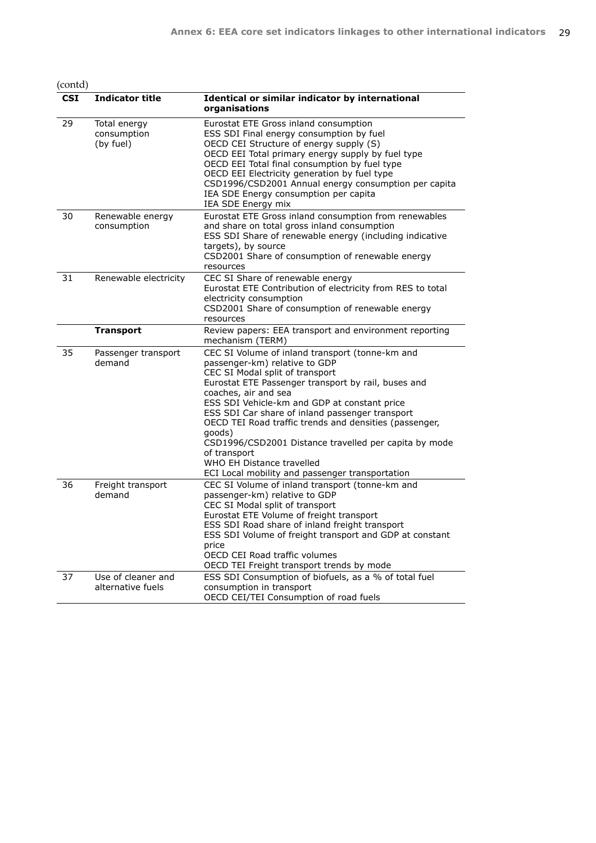(contd)

| CSI | <b>Indicator title</b>                   | Identical or similar indicator by international<br>organisations                                                                                                                                                                                                                                                                                                                                                                                                                                                                   |
|-----|------------------------------------------|------------------------------------------------------------------------------------------------------------------------------------------------------------------------------------------------------------------------------------------------------------------------------------------------------------------------------------------------------------------------------------------------------------------------------------------------------------------------------------------------------------------------------------|
| 29  | Total energy<br>consumption<br>(by fuel) | Eurostat ETE Gross inland consumption<br>ESS SDI Final energy consumption by fuel<br>OECD CEI Structure of energy supply (S)<br>OECD EEI Total primary energy supply by fuel type<br>OECD EEI Total final consumption by fuel type<br>OECD EEI Electricity generation by fuel type<br>CSD1996/CSD2001 Annual energy consumption per capita<br>IEA SDE Energy consumption per capita<br>IEA SDE Energy mix                                                                                                                          |
| 30  | Renewable energy<br>consumption          | Eurostat ETE Gross inland consumption from renewables<br>and share on total gross inland consumption<br>ESS SDI Share of renewable energy (including indicative<br>targets), by source<br>CSD2001 Share of consumption of renewable energy<br>resources                                                                                                                                                                                                                                                                            |
| 31  | Renewable electricity                    | CEC SI Share of renewable energy<br>Eurostat ETE Contribution of electricity from RES to total<br>electricity consumption<br>CSD2001 Share of consumption of renewable energy<br>resources                                                                                                                                                                                                                                                                                                                                         |
|     | <b>Transport</b>                         | Review papers: EEA transport and environment reporting<br>mechanism (TERM)                                                                                                                                                                                                                                                                                                                                                                                                                                                         |
| 35  | Passenger transport<br>demand            | CEC SI Volume of inland transport (tonne-km and<br>passenger-km) relative to GDP<br>CEC SI Modal split of transport<br>Eurostat ETE Passenger transport by rail, buses and<br>coaches, air and sea<br>ESS SDI Vehicle-km and GDP at constant price<br>ESS SDI Car share of inland passenger transport<br>OECD TEI Road traffic trends and densities (passenger,<br>qoods)<br>CSD1996/CSD2001 Distance travelled per capita by mode<br>of transport<br>WHO EH Distance travelled<br>ECI Local mobility and passenger transportation |
| 36  | Freight transport<br>demand              | CEC SI Volume of inland transport (tonne-km and<br>passenger-km) relative to GDP<br>CEC SI Modal split of transport<br>Eurostat ETE Volume of freight transport<br>ESS SDI Road share of inland freight transport<br>ESS SDI Volume of freight transport and GDP at constant<br>price<br>OECD CEI Road traffic volumes<br>OECD TEI Freight transport trends by mode                                                                                                                                                                |
| 37  | Use of cleaner and<br>alternative fuels  | ESS SDI Consumption of biofuels, as a % of total fuel<br>consumption in transport<br>OECD CEI/TEI Consumption of road fuels                                                                                                                                                                                                                                                                                                                                                                                                        |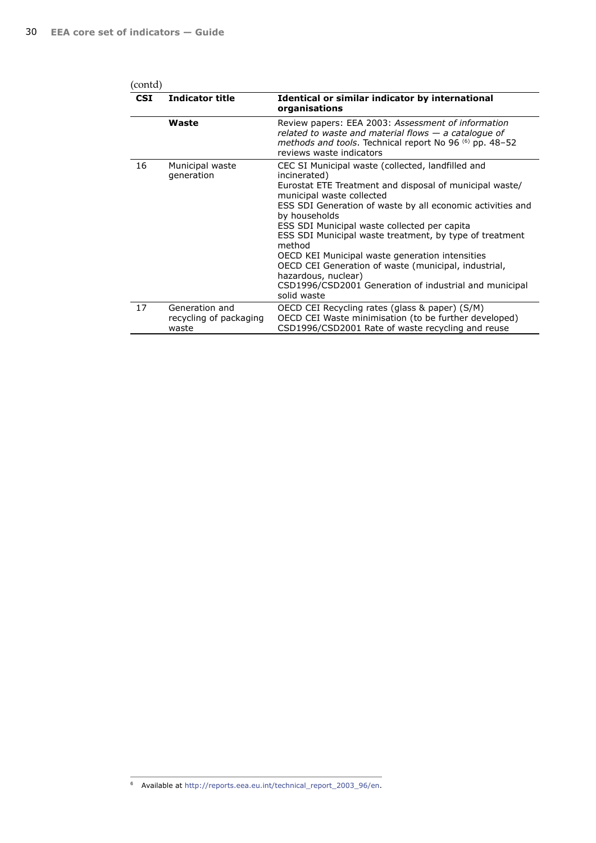| (contd)    |                                                   |                                                                                                                                                                                                                                                                                                                                                                                                                                                                                                                                                                          |  |
|------------|---------------------------------------------------|--------------------------------------------------------------------------------------------------------------------------------------------------------------------------------------------------------------------------------------------------------------------------------------------------------------------------------------------------------------------------------------------------------------------------------------------------------------------------------------------------------------------------------------------------------------------------|--|
| <b>CSI</b> | <b>Indicator title</b>                            | Identical or similar indicator by international<br>organisations                                                                                                                                                                                                                                                                                                                                                                                                                                                                                                         |  |
|            | Waste                                             | Review papers: EEA 2003: Assessment of information<br>related to waste and material flows $-$ a catalogue of<br>methods and tools. Technical report No 96 (6) pp. 48–52<br>reviews waste indicators                                                                                                                                                                                                                                                                                                                                                                      |  |
| 16         | Municipal waste<br>generation                     | CEC SI Municipal waste (collected, landfilled and<br>incinerated)<br>Eurostat ETE Treatment and disposal of municipal waste/<br>municipal waste collected<br>ESS SDI Generation of waste by all economic activities and<br>by households<br>ESS SDI Municipal waste collected per capita<br>ESS SDI Municipal waste treatment, by type of treatment<br>method<br>OECD KEI Municipal waste generation intensities<br>OECD CEI Generation of waste (municipal, industrial,<br>hazardous, nuclear)<br>CSD1996/CSD2001 Generation of industrial and municipal<br>solid waste |  |
| 17         | Generation and<br>recycling of packaging<br>waste | OECD CEI Recycling rates (glass & paper) (S/M)<br>OECD CEI Waste minimisation (to be further developed)<br>CSD1996/CSD2001 Rate of waste recycling and reuse                                                                                                                                                                                                                                                                                                                                                                                                             |  |

6 Available at [http://reports.eea.eu.int/technical\\_report\\_2003\\_96/en](reports.eea.eu.int/technical_report_2003_96/en).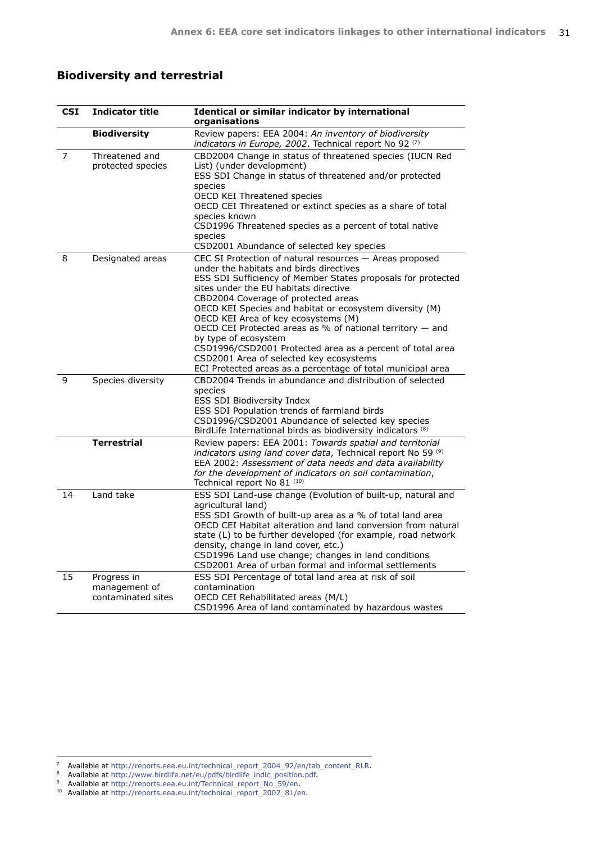## **Biodiversity and terrestrial**

| CSI | <b>Indicator title</b>                             | Identical or similar indicator by international<br>organisations                                                                                                                                                                                                                                                                                                                                                                                                                                                                                                                                                   |
|-----|----------------------------------------------------|--------------------------------------------------------------------------------------------------------------------------------------------------------------------------------------------------------------------------------------------------------------------------------------------------------------------------------------------------------------------------------------------------------------------------------------------------------------------------------------------------------------------------------------------------------------------------------------------------------------------|
|     | <b>Biodiversity</b>                                | Review papers: EEA 2004: An inventory of biodiversity<br>indicators in Europe, 2002. Technical report No 92 (7)                                                                                                                                                                                                                                                                                                                                                                                                                                                                                                    |
| 7   | Threatened and<br>protected species                | CBD2004 Change in status of threatened species (IUCN Red<br>List) (under development)<br>ESS SDI Change in status of threatened and/or protected<br>species<br>OECD KEI Threatened species<br>OECD CEI Threatened or extinct species as a share of total<br>species known<br>CSD1996 Threatened species as a percent of total native<br>species<br>CSD2001 Abundance of selected key species                                                                                                                                                                                                                       |
| 8   | Designated areas                                   | CEC SI Protection of natural resources - Areas proposed<br>under the habitats and birds directives<br>ESS SDI Sufficiency of Member States proposals for protected<br>sites under the EU habitats directive<br>CBD2004 Coverage of protected areas<br>OECD KEI Species and habitat or ecosystem diversity (M)<br>OECD KEI Area of key ecosystems (M)<br>OECD CEI Protected areas as % of national territory $-$ and<br>by type of ecosystem<br>CSD1996/CSD2001 Protected area as a percent of total area<br>CSD2001 Area of selected key ecosystems<br>ECI Protected areas as a percentage of total municipal area |
| 9   | Species diversity                                  | CBD2004 Trends in abundance and distribution of selected<br>species<br><b>ESS SDI Biodiversity Index</b><br>ESS SDI Population trends of farmland birds<br>CSD1996/CSD2001 Abundance of selected key species<br>BirdLife International birds as biodiversity indicators (8)                                                                                                                                                                                                                                                                                                                                        |
|     | <b>Terrestrial</b>                                 | Review papers: EEA 2001: Towards spatial and territorial<br>indicators using land cover data, Technical report No 59 (9)<br>EEA 2002: Assessment of data needs and data availability<br>for the development of indicators on soil contamination,<br>Technical report No 81 (10)                                                                                                                                                                                                                                                                                                                                    |
| 14  | Land take                                          | ESS SDI Land-use change (Evolution of built-up, natural and<br>agricultural land)<br>ESS SDI Growth of built-up area as a % of total land area<br>OECD CEI Habitat alteration and land conversion from natural<br>state (L) to be further developed (for example, road network<br>density, change in land cover, etc.)<br>CSD1996 Land use change; changes in land conditions<br>CSD2001 Area of urban formal and informal settlements                                                                                                                                                                             |
| 15  | Progress in<br>management of<br>contaminated sites | ESS SDI Percentage of total land area at risk of soil<br>contamination<br>OECD CEI Rehabilitated areas (M/L)<br>CSD1996 Area of land contaminated by hazardous wastes                                                                                                                                                                                                                                                                                                                                                                                                                                              |

<sup>10</sup> Available at [http://reports.eea.eu.int/technical\\_report\\_2002\\_81/en](reports.eea.eu.int/technical_report_2002_81/en).

<sup>&</sup>lt;sup>7</sup> Available at [http://reports.eea.eu.int/technical\\_report\\_2004\\_92/en/tab\\_content\\_RLR.](reports.eea.eu.int/technical_report_2004_92/en/tab_content_RLR)<br><sup>8</sup> Available at [http://www.birdlife.net/eu/pdfs/birdlife\\_indic\\_position.pdf](www.birdlife.net/eu/pdfs/birdlife_indic_position.pdf).

<sup>9</sup> Available at [http://reports.eea.eu.int/Technical\\_report\\_No\\_59/en.](reports.eea.eu.int/Technical_report_No_59/en)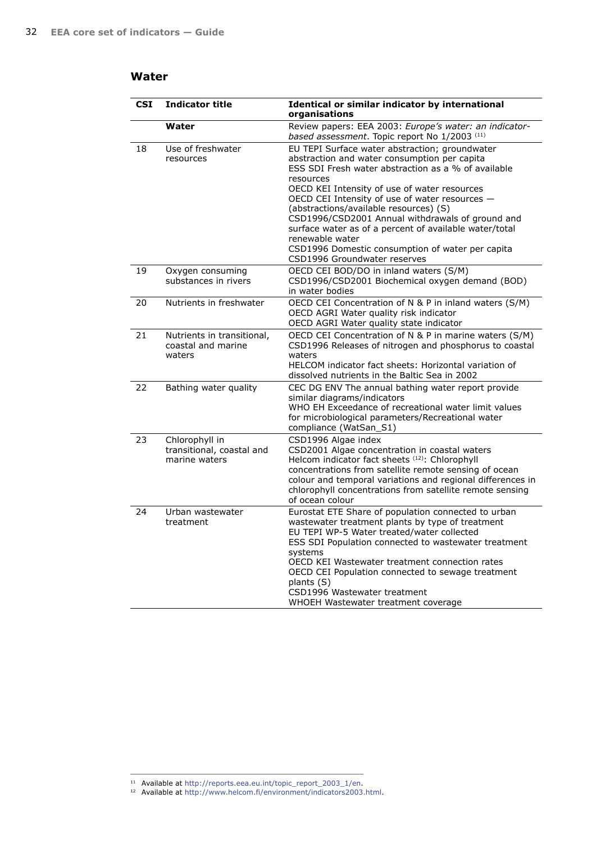### **Water**

| <b>CSI</b> | <b>Indicator title</b>                                       | Identical or similar indicator by international<br>organisations                                                                                                                                                                                                                                                                                                                                                                                                                                                                    |
|------------|--------------------------------------------------------------|-------------------------------------------------------------------------------------------------------------------------------------------------------------------------------------------------------------------------------------------------------------------------------------------------------------------------------------------------------------------------------------------------------------------------------------------------------------------------------------------------------------------------------------|
|            | Water                                                        | Review papers: EEA 2003: Europe's water: an indicator-<br>based assessment. Topic report No 1/2003 (11)                                                                                                                                                                                                                                                                                                                                                                                                                             |
| 18         | Use of freshwater<br>resources                               | EU TEPI Surface water abstraction; groundwater<br>abstraction and water consumption per capita<br>ESS SDI Fresh water abstraction as a % of available<br>resources<br>OECD KEI Intensity of use of water resources<br>OECD CEI Intensity of use of water resources -<br>(abstractions/available resources) (S)<br>CSD1996/CSD2001 Annual withdrawals of ground and<br>surface water as of a percent of available water/total<br>renewable water<br>CSD1996 Domestic consumption of water per capita<br>CSD1996 Groundwater reserves |
| 19         | Oxygen consuming<br>substances in rivers                     | OECD CEI BOD/DO in inland waters (S/M)<br>CSD1996/CSD2001 Biochemical oxygen demand (BOD)<br>in water bodies                                                                                                                                                                                                                                                                                                                                                                                                                        |
| 20         | Nutrients in freshwater                                      | OECD CEI Concentration of N & P in inland waters (S/M)<br>OECD AGRI Water quality risk indicator<br>OECD AGRI Water quality state indicator                                                                                                                                                                                                                                                                                                                                                                                         |
| 21         | Nutrients in transitional,<br>coastal and marine<br>waters   | OECD CEI Concentration of N & P in marine waters (S/M)<br>CSD1996 Releases of nitrogen and phosphorus to coastal<br>waters<br>HELCOM indicator fact sheets: Horizontal variation of<br>dissolved nutrients in the Baltic Sea in 2002                                                                                                                                                                                                                                                                                                |
| 22         | Bathing water quality                                        | CEC DG ENV The annual bathing water report provide<br>similar diagrams/indicators<br>WHO EH Exceedance of recreational water limit values<br>for microbiological parameters/Recreational water<br>compliance (WatSan_S1)                                                                                                                                                                                                                                                                                                            |
| 23         | Chlorophyll in<br>transitional, coastal and<br>marine waters | CSD1996 Algae index<br>CSD2001 Algae concentration in coastal waters<br>Helcom indicator fact sheets (12): Chlorophyll<br>concentrations from satellite remote sensing of ocean<br>colour and temporal variations and regional differences in<br>chlorophyll concentrations from satellite remote sensing<br>of ocean colour                                                                                                                                                                                                        |
| 24         | Urban wastewater<br>treatment                                | Eurostat ETE Share of population connected to urban<br>wastewater treatment plants by type of treatment<br>EU TEPI WP-5 Water treated/water collected<br>ESS SDI Population connected to wastewater treatment<br>systems<br>OECD KEI Wastewater treatment connection rates<br>OECD CEI Population connected to sewage treatment<br>plants (S)<br>CSD1996 Wastewater treatment<br>WHOEH Wastewater treatment coverage                                                                                                                |

<sup>11</sup> Available at [http://reports.eea.eu.int/topic\\_report\\_2003\\_1/en](reports.eea.eu.int/topic_report_2003_1/en). 12 Available at [http://www.helcom.fi/environment/indicators2003.html](www.helcom.fi/environment/indicators2003.html).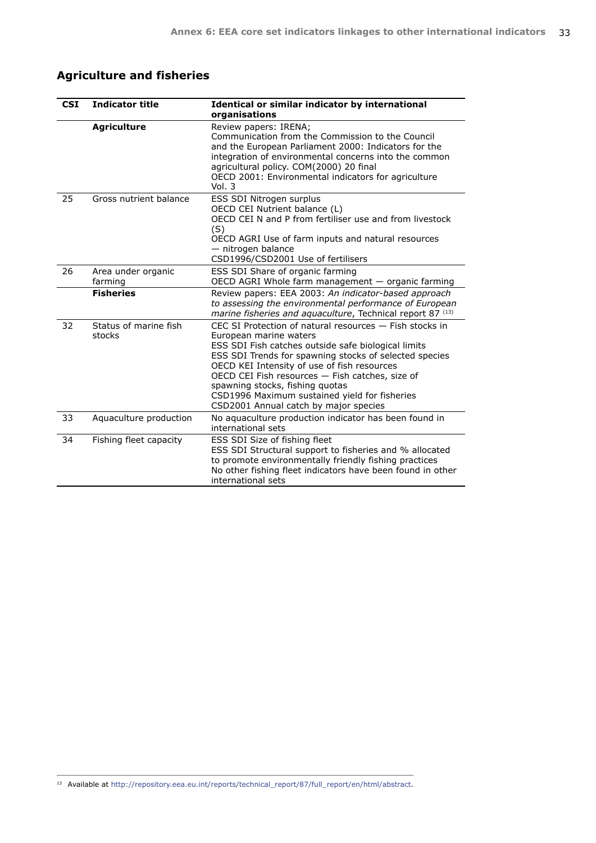# **Agriculture and fisheries**

| <b>CSI</b> | <b>Indicator title</b>          | Identical or similar indicator by international<br>organisations                                                                                                                                                                                                                                                                                                                                                                  |  |  |
|------------|---------------------------------|-----------------------------------------------------------------------------------------------------------------------------------------------------------------------------------------------------------------------------------------------------------------------------------------------------------------------------------------------------------------------------------------------------------------------------------|--|--|
|            | <b>Agriculture</b>              | Review papers: IRENA;<br>Communication from the Commission to the Council<br>and the European Parliament 2000: Indicators for the<br>integration of environmental concerns into the common<br>agricultural policy. COM(2000) 20 final<br>OECD 2001: Environmental indicators for agriculture<br>Vol. 3                                                                                                                            |  |  |
| 25         | Gross nutrient balance          | ESS SDI Nitrogen surplus<br>OECD CEI Nutrient balance (L)<br>OECD CEI N and P from fertiliser use and from livestock<br>(S)<br>OECD AGRI Use of farm inputs and natural resources<br>- nitrogen balance<br>CSD1996/CSD2001 Use of fertilisers                                                                                                                                                                                     |  |  |
| 26         | Area under organic<br>farming   | ESS SDI Share of organic farming<br>OECD AGRI Whole farm management - organic farming                                                                                                                                                                                                                                                                                                                                             |  |  |
|            | <b>Fisheries</b>                | Review papers: EEA 2003: An indicator-based approach<br>to assessing the environmental performance of European<br>marine fisheries and aquaculture, Technical report 87 <sup>(13)</sup>                                                                                                                                                                                                                                           |  |  |
| 32         | Status of marine fish<br>stocks | CEC SI Protection of natural resources - Fish stocks in<br>European marine waters<br>ESS SDI Fish catches outside safe biological limits<br>ESS SDI Trends for spawning stocks of selected species<br>OECD KEI Intensity of use of fish resources<br>OECD CEI Fish resources - Fish catches, size of<br>spawning stocks, fishing quotas<br>CSD1996 Maximum sustained yield for fisheries<br>CSD2001 Annual catch by major species |  |  |
| 33         | Aquaculture production          | No aquaculture production indicator has been found in<br>international sets                                                                                                                                                                                                                                                                                                                                                       |  |  |
| 34         | Fishing fleet capacity          | ESS SDI Size of fishing fleet<br>ESS SDI Structural support to fisheries and % allocated<br>to promote environmentally friendly fishing practices<br>No other fishing fleet indicators have been found in other<br>international sets                                                                                                                                                                                             |  |  |

13 Available at [http://repository.eea.eu.int/reports/technical\\_report/87/full\\_report/en/html/abstract.](repository.eea.eu.int/reports/technical_report/87/full_report/en/html/abstract)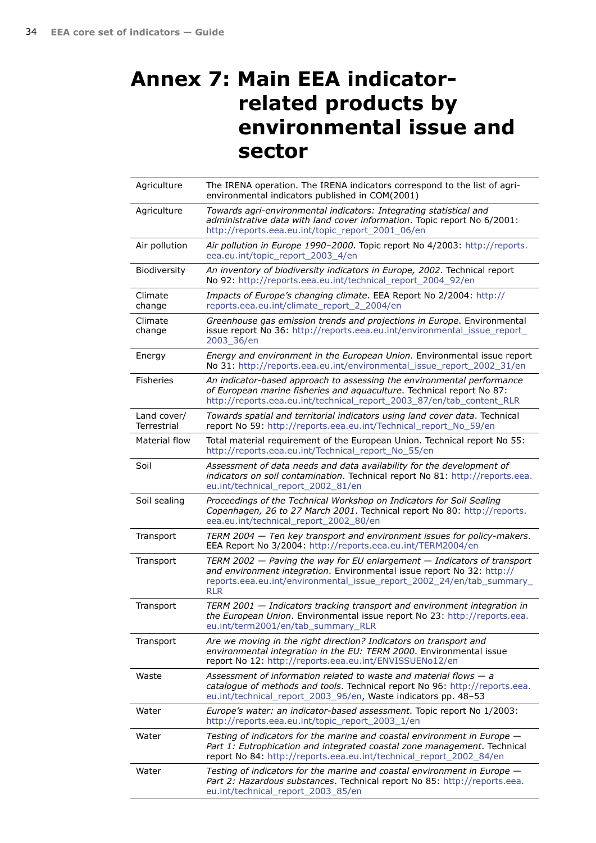# <span id="page-33-0"></span>**Annex 7: Main EEA indicatorrelated products by environmental issue and sector**

| Agriculture                | The IRENA operation. The IRENA indicators correspond to the list of agri-<br>environmental indicators published in COM(2001)                                                                                                                 |
|----------------------------|----------------------------------------------------------------------------------------------------------------------------------------------------------------------------------------------------------------------------------------------|
| Agriculture                | Towards agri-environmental indicators: Integrating statistical and<br>administrative data with land cover information. Topic report No 6/2001:<br>http://reports.eea.eu.int/topic_report_2001_06/en                                          |
| Air pollution              | Air pollution in Europe 1990-2000. Topic report No 4/2003: http://reports.<br>eea.eu.int/topic_report_2003_4/en                                                                                                                              |
| Biodiversity               | An inventory of biodiversity indicators in Europe, 2002. Technical report<br>No 92: http://reports.eea.eu.int/technical_report_2004_92/en                                                                                                    |
| Climate<br>change          | Impacts of Europe's changing climate. EEA Report No 2/2004: http://<br>reports.eea.eu.int/climate_report_2_2004/en                                                                                                                           |
| Climate<br>change          | Greenhouse gas emission trends and projections in Europe. Environmental<br>issue report No 36: http://reports.eea.eu.int/environmental_issue_report_<br>2003_36/en                                                                           |
| Energy                     | Energy and environment in the European Union. Environmental issue report<br>No 31: http://reports.eea.eu.int/environmental_issue_report_2002_31/en                                                                                           |
| <b>Fisheries</b>           | An indicator-based approach to assessing the environmental performance<br>of European marine fisheries and aquaculture. Technical report No 87:<br>http://reports.eea.eu.int/technical_report_2003_87/en/tab_content_RLR                     |
| Land cover/<br>Terrestrial | Towards spatial and territorial indicators using land cover data. Technical<br>report No 59: http://reports.eea.eu.int/Technical_report_No_59/en                                                                                             |
| Material flow              | Total material requirement of the European Union. Technical report No 55:<br>http://reports.eea.eu.int/Technical_report_No_55/en                                                                                                             |
| Soil                       | Assessment of data needs and data availability for the development of<br>indicators on soil contamination. Technical report No 81: http://reports.eea.<br>eu.int/technical_report_2002_81/en                                                 |
| Soil sealing               | Proceedings of the Technical Workshop on Indicators for Soil Sealing<br>Copenhagen, 26 to 27 March 2001. Technical report No 80: http://reports.<br>eea.eu.int/technical_report_2002_80/en                                                   |
| Transport                  | TERM 2004 - Ten key transport and environment issues for policy-makers.<br>EEA Report No 3/2004: http://reports.eea.eu.int/TERM2004/en                                                                                                       |
| Transport                  | TERM 2002 $-$ Paving the way for EU enlargement $-$ Indicators of transport<br>and environment integration. Environmental issue report No 32: http://<br>reports.eea.eu.int/environmental_issue_report_2002_24/en/tab_summary_<br><b>RLR</b> |
| Transport                  | TERM 2001 - Indicators tracking transport and environment integration in<br>the European Union. Environmental issue report No 23: http://reports.eea.<br>eu.int/term2001/en/tab_summary_RLR                                                  |
| Transport                  | Are we moving in the right direction? Indicators on transport and<br>environmental integration in the EU: TERM 2000. Environmental issue<br>report No 12: http://reports.eea.eu.int/ENVISSUENo12/en                                          |
| Waste                      | Assessment of information related to waste and material flows $-$ a<br>catalogue of methods and tools. Technical report No 96: http://reports.eea.<br>eu.int/technical_report_2003_96/en, Waste indicators pp. 48-53                         |
| Water                      | Europe's water: an indicator-based assessment. Topic report No 1/2003:<br>http://reports.eea.eu.int/topic_report_2003_1/en                                                                                                                   |
| Water                      | Testing of indicators for the marine and coastal environment in Europe -<br>Part 1: Eutrophication and integrated coastal zone management. Technical<br>report No 84: http://reports.eea.eu.int/technical_report_2002_84/en                  |
| Water                      | Testing of indicators for the marine and coastal environment in Europe -<br>Part 2: Hazardous substances. Technical report No 85: http://reports.eea.<br>eu.int/technical_report_2003_85/en                                                  |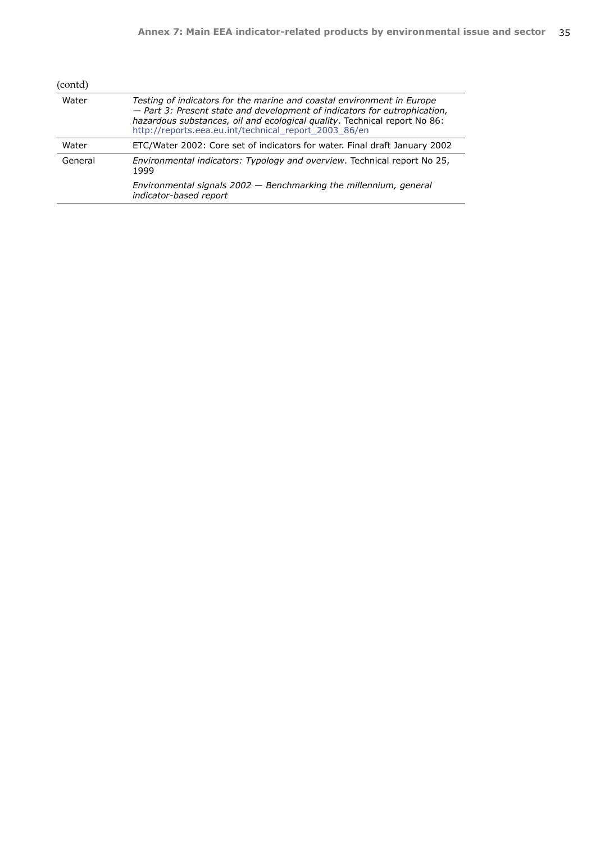| (contd) |                                                                                                                                                                                                                                                                                           |  |  |
|---------|-------------------------------------------------------------------------------------------------------------------------------------------------------------------------------------------------------------------------------------------------------------------------------------------|--|--|
| Water   | Testing of indicators for the marine and coastal environment in Europe<br>- Part 3: Present state and development of indicators for eutrophication,<br>hazardous substances, oil and ecological quality. Technical report No 86:<br>http://reports.eea.eu.int/technical_report_2003_86/en |  |  |
| Water   | ETC/Water 2002: Core set of indicators for water. Final draft January 2002                                                                                                                                                                                                                |  |  |
| General | Environmental indicators: Typology and overview. Technical report No 25,<br>1999                                                                                                                                                                                                          |  |  |
|         | Environmental signals 2002 - Benchmarking the millennium, general<br>indicator-based report                                                                                                                                                                                               |  |  |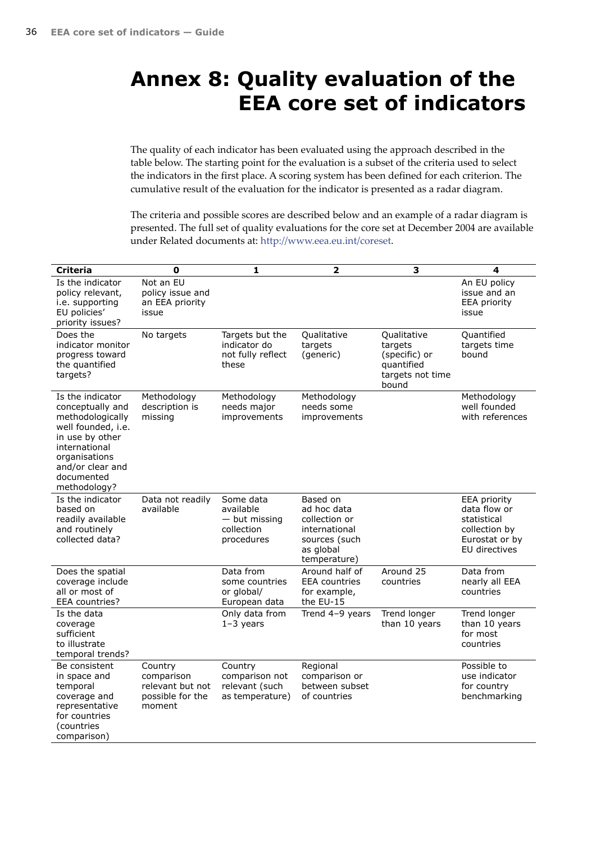# <span id="page-35-0"></span>**Annex 8: Quality evaluation of the EEA core set of indicators**

The quality of each indicator has been evaluated using the approach described in the table below. The starting point for the evaluation is a subset of the criteria used to select the indicators in the first place. A scoring system has been defined for each criterion. The cumulative result of the evaluation for the indicator is presented as a radar diagram.

The criteria and possible scores are described below and an example of a radar diagram is presented. The full set of quality evaluations for the core set at December 2004 are available under Related documents at: [http://www.eea.eu.int/coreset.](www.eea.eu.int/coreset)

| <b>Criteria</b>                                                                                                                                                                       | 0                                                                       | 1                                                                     | $\overline{\mathbf{2}}$                                                                                 | з                                                                                  | 4                                                                                                      |
|---------------------------------------------------------------------------------------------------------------------------------------------------------------------------------------|-------------------------------------------------------------------------|-----------------------------------------------------------------------|---------------------------------------------------------------------------------------------------------|------------------------------------------------------------------------------------|--------------------------------------------------------------------------------------------------------|
| Is the indicator<br>policy relevant,<br>i.e. supporting<br>EU policies'<br>priority issues?                                                                                           | Not an EU<br>policy issue and<br>an EEA priority<br>issue               |                                                                       |                                                                                                         |                                                                                    | An EU policy<br>issue and an<br><b>EEA priority</b><br>issue                                           |
| Does the<br>indicator monitor<br>progress toward<br>the quantified<br>targets?                                                                                                        | No targets                                                              | Targets but the<br>indicator do<br>not fully reflect<br>these         | Qualitative<br>targets<br>(generic)                                                                     | Qualitative<br>targets<br>(specific) or<br>quantified<br>targets not time<br>bound | Quantified<br>targets time<br>bound                                                                    |
| Is the indicator<br>conceptually and<br>methodologically<br>well founded, i.e.<br>in use by other<br>international<br>organisations<br>and/or clear and<br>documented<br>methodology? | Methodology<br>description is<br>missing                                | Methodology<br>needs major<br>improvements                            | Methodology<br>needs some<br>improvements                                                               |                                                                                    | Methodology<br>well founded<br>with references                                                         |
| Is the indicator<br>based on<br>readily available<br>and routinely<br>collected data?                                                                                                 | Data not readily<br>available                                           | Some data<br>available<br>$-$ but missing<br>collection<br>procedures | Based on<br>ad hoc data<br>collection or<br>international<br>sources (such<br>as global<br>temperature) |                                                                                    | <b>EEA priority</b><br>data flow or<br>statistical<br>collection by<br>Eurostat or by<br>EU directives |
| Does the spatial<br>coverage include<br>all or most of<br><b>EEA</b> countries?                                                                                                       |                                                                         | Data from<br>some countries<br>or global/<br>European data            | Around half of<br><b>EEA</b> countries<br>for example,<br>the EU-15                                     | Around 25<br>countries                                                             | Data from<br>nearly all EEA<br>countries                                                               |
| Is the data<br>coverage<br>sufficient<br>to illustrate<br>temporal trends?                                                                                                            |                                                                         | Only data from<br>$1-3$ years                                         | Trend 4-9 years                                                                                         | Trend longer<br>than 10 years                                                      | Trend longer<br>than 10 years<br>for most<br>countries                                                 |
| Be consistent<br>in space and<br>temporal<br>coverage and<br>representative<br>for countries<br>(countries<br>comparison)                                                             | Country<br>comparison<br>relevant but not<br>possible for the<br>moment | Country<br>comparison not<br>relevant (such<br>as temperature)        | Regional<br>comparison or<br>between subset<br>of countries                                             |                                                                                    | Possible to<br>use indicator<br>for country<br>benchmarking                                            |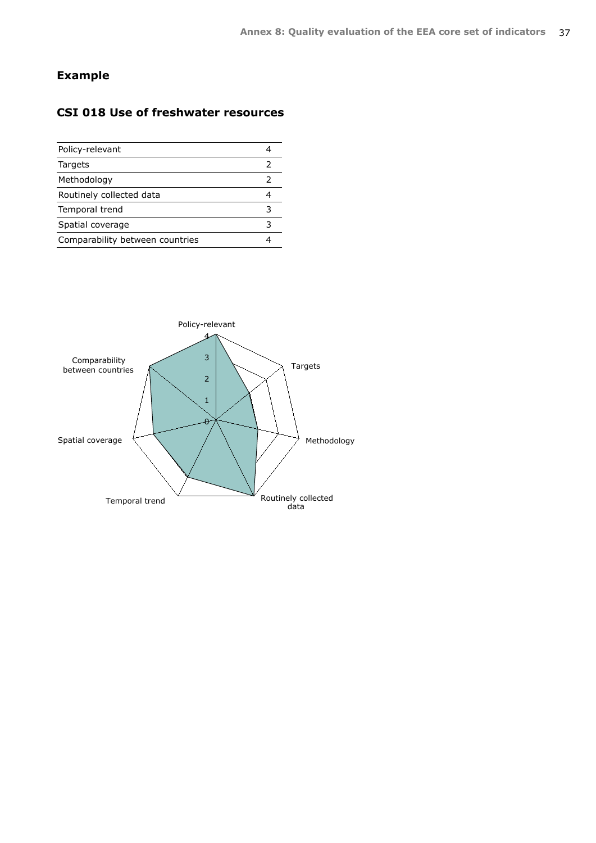## **Example**

## **CSI 018 Use of freshwater resources**

| Policy-relevant                 |   |
|---------------------------------|---|
| Targets                         | 2 |
| Methodology                     | 2 |
| Routinely collected data        |   |
| Temporal trend                  | 3 |
| Spatial coverage                | 3 |
| Comparability between countries |   |
|                                 |   |